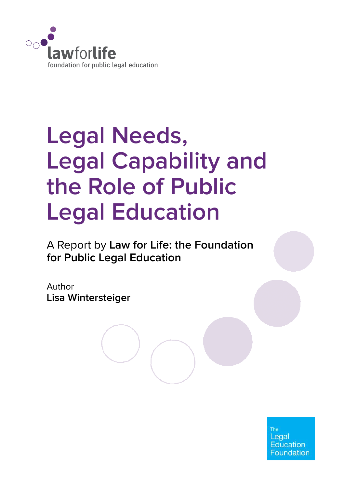

# **Legal Needs, Legal Capability and the Role of Public Legal Education**

A Report by **Law for Life: the Foundation for Public Legal Education**

Author **Lisa Wintersteiger**

> Legal **Education Foundation**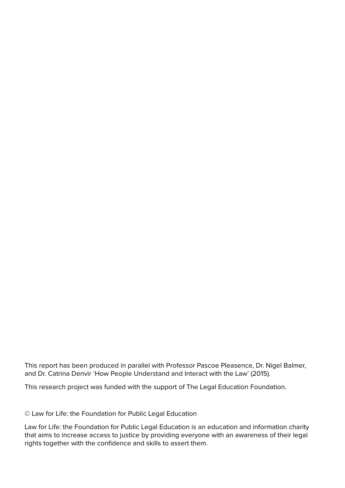This report has been produced in parallel with Professor Pascoe Pleasence, Dr. Nigel Balmer, and Dr. Catrina Denvir 'How People Understand and Interact with the Law' (2015).

This research project was funded with the support of The Legal Education Foundation.

© Law for Life: the Foundation for Public Legal Education

Law for Life: the Foundation for Public Legal Education is an education and information charity that aims to increase access to justice by providing everyone with an awareness of their legal rights together with the confidence and skills to assert them.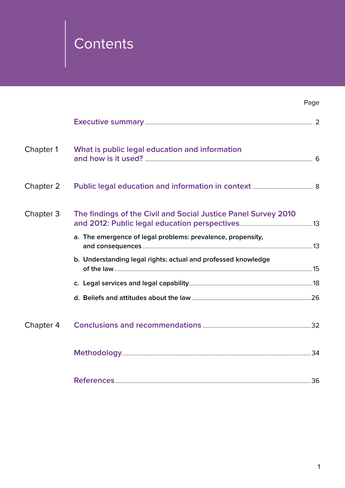# Contents

|           |                                                                | Page |
|-----------|----------------------------------------------------------------|------|
|           |                                                                |      |
| Chapter 1 | What is public legal education and information                 |      |
| Chapter 2 |                                                                |      |
| Chapter 3 | The findings of the Civil and Social Justice Panel Survey 2010 |      |
|           | a. The emergence of legal problems: prevalence, propensity,    |      |
|           | b. Understanding legal rights: actual and professed knowledge  |      |
|           |                                                                |      |
|           |                                                                |      |
| Chapter 4 |                                                                |      |
|           |                                                                |      |
|           | <b>References</b>                                              | 36   |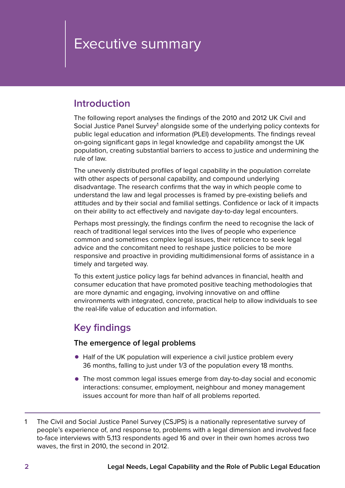# <span id="page-3-0"></span>Executive summary

### **Introduction**

The following report analyses the findings of the 2010 and 2012 UK Civil and Social Justice Panel Survey<sup>1</sup> alongside some of the underlying policy contexts for public legal education and information (PLEI) developments. The findings reveal on-going significant gaps in legal knowledge and capability amongst the UK population, creating substantial barriers to access to justice and undermining the rule of law.

The unevenly distributed profiles of legal capability in the population correlate with other aspects of personal capability, and compound underlying disadvantage. The research confirms that the way in which people come to understand the law and legal processes is framed by pre-existing beliefs and attitudes and by their social and familial settings. Confidence or lack of it impacts on their ability to act effectively and navigate day-to-day legal encounters.

Perhaps most pressingly, the findings confirm the need to recognise the lack of reach of traditional legal services into the lives of people who experience common and sometimes complex legal issues, their reticence to seek legal advice and the concomitant need to reshape justice policies to be more responsive and proactive in providing multidimensional forms of assistance in a timely and targeted way.

To this extent justice policy lags far behind advances in financial, health and consumer education that have promoted positive teaching methodologies that are more dynamic and engaging, involving innovative on and offline environments with integrated, concrete, practical help to allow individuals to see the real-life value of education and information.

# **Key findings**

#### **The emergence of legal problems**

- Half of the UK population will experience a civil justice problem every 36 months, falling to just under 1/3 of the population every 18 months.
- The most common legal issues emerge from day-to-day social and economic interactions: consumer, employment, neighbour and money management issues account for more than half of all problems reported.

<sup>1</sup> The Civil and Social Justice Panel Survey (CSJPS) is a nationally representative survey of people's experience of, and response to, problems with a legal dimension and involved face to-face interviews with 5,113 respondents aged 16 and over in their own homes across two waves, the first in 2010, the second in 2012.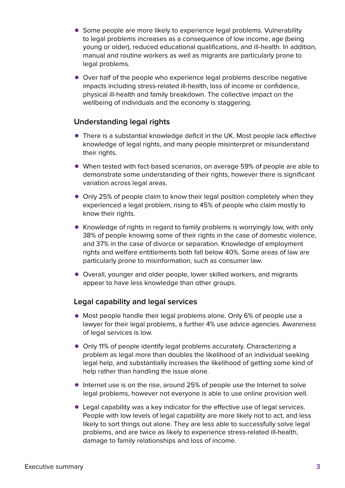- Some people are more likely to experience legal problems. Vulnerability to legal problems increases as a consequence of low income, age (being young or older), reduced educational qualifications, and ill-health. In addition, manual and routine workers as well as migrants are particularly prone to legal problems.
- Over half of the people who experience legal problems describe negative impacts including stress-related ill-health, loss of income or confidence, physical ill-health and family breakdown. The collective impact on the wellbeing of individuals and the economy is staggering.

#### **Understanding legal rights**

- There is a substantial knowledge deficit in the UK. Most people lack effective knowledge of legal rights, and many people misinterpret or misunderstand their rights.
- When tested with fact-based scenarios, on average 59% of people are able to demonstrate some understanding of their rights, however there is significant variation across legal areas.
- Only 25% of people claim to know their legal position completely when they experienced a legal problem, rising to 45% of people who claim mostly to know their rights.
- Knowledge of rights in regard to family problems is worryingly low, with only 38% of people knowing some of their rights in the case of domestic violence, and 37% in the case of divorce or separation. Knowledge of employment rights and welfare entitlements both fall below 40%. Some areas of law are particularly prone to misinformation, such as consumer law.
- Overall, younger and older people, lower skilled workers, and migrants appear to have less knowledge than other groups.

#### **Legal capability and legal services**

- Most people handle their legal problems alone. Only 6% of people use a lawyer for their legal problems, a further 4% use advice agencies. Awareness of legal services is low.
- Only 11% of people identify legal problems accurately. Characterizing a problem as legal more than doubles the likelihood of an individual seeking legal help, and substantially increases the likelihood of getting some kind of help rather than handling the issue alone.
- $\bullet$  Internet use is on the rise, around 25% of people use the Internet to solve legal problems, however not everyone is able to use online provision well.
- Legal capability was a key indicator for the effective use of legal services. People with low levels of legal capability are more likely not to act, and less likely to sort things out alone. They are less able to successfully solve legal problems, and are twice as likely to experience stress-related ill-health, damage to family relationships and loss of income.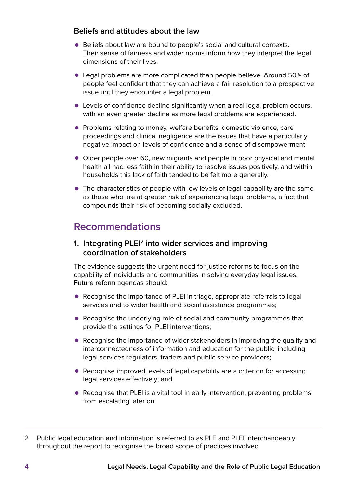#### **Beliefs and attitudes about the law**

- Beliefs about law are bound to people's social and cultural contexts. Their sense of fairness and wider norms inform how they interpret the legal dimensions of their lives.
- Legal problems are more complicated than people believe. Around 50% of people feel confident that they can achieve a fair resolution to a prospective issue until they encounter a legal problem.
- Levels of confidence decline significantly when a real legal problem occurs, with an even greater decline as more legal problems are experienced.
- Problems relating to money, welfare benefits, domestic violence, care proceedings and clinical negligence are the issues that have a particularly negative impact on levels of confidence and a sense of disempowerment
- Older people over 60, new migrants and people in poor physical and mental health all had less faith in their ability to resolve issues positively, and within households this lack of faith tended to be felt more generally.
- The characteristics of people with low levels of legal capability are the same as those who are at greater risk of experiencing legal problems, a fact that compounds their risk of becoming socially excluded.

# **Recommendations**

#### **1. Integrating PLEI**<sup>2</sup> **into wider services and improving coordination of stakeholders**

The evidence suggests the urgent need for justice reforms to focus on the capability of individuals and communities in solving everyday legal issues. Future reform agendas should:

- Recognise the importance of PLEI in triage, appropriate referrals to legal services and to wider health and social assistance programmes;
- Recognise the underlying role of social and community programmes that provide the settings for PLEI interventions;
- Recognise the importance of wider stakeholders in improving the quality and interconnectedness of information and education for the public, including legal services regulators, traders and public service providers;
- Recognise improved levels of legal capability are a criterion for accessing legal services effectively; and
- Recognise that PLEI is a vital tool in early intervention, preventing problems from escalating later on.

<sup>2</sup> Public legal education and information is referred to as PLE and PLEI interchangeably throughout the report to recognise the broad scope of practices involved.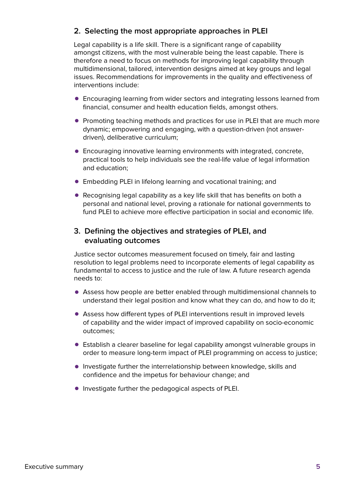#### **2. Selecting the most appropriate approaches in PLEI**

Legal capability is a life skill. There is a significant range of capability amongst citizens, with the most vulnerable being the least capable. There is therefore a need to focus on methods for improving legal capability through multidimensional, tailored, intervention designs aimed at key groups and legal issues. Recommendations for improvements in the quality and effectiveness of interventions include:

- Encouraging learning from wider sectors and integrating lessons learned from financial, consumer and health education fields, amongst others.
- Promoting teaching methods and practices for use in PLEI that are much more dynamic; empowering and engaging, with a question-driven (not answerdriven), deliberative curriculum;
- $\bullet$  Encouraging innovative learning environments with integrated, concrete, practical tools to help individuals see the real-life value of legal information and education;
- Embedding PLEI in lifelong learning and vocational training; and
- Recognising legal capability as a key life skill that has benefits on both a personal and national level, proving a rationale for national governments to fund PLEI to achieve more effective participation in social and economic life.

#### **3. Defining the objectives and strategies of PLEI, and evaluating outcomes**

Justice sector outcomes measurement focused on timely, fair and lasting resolution to legal problems need to incorporate elements of legal capability as fundamental to access to justice and the rule of law. A future research agenda needs to:

- Assess how people are better enabled through multidimensional channels to understand their legal position and know what they can do, and how to do it;
- Assess how different types of PLEI interventions result in improved levels of capability and the wider impact of improved capability on socio-economic outcomes;
- Establish a clearer baseline for legal capability amongst vulnerable groups in order to measure long-term impact of PLEI programming on access to justice;
- Investigate further the interrelationship between knowledge, skills and confidence and the impetus for behaviour change; and
- Investigate further the pedagogical aspects of PLEI.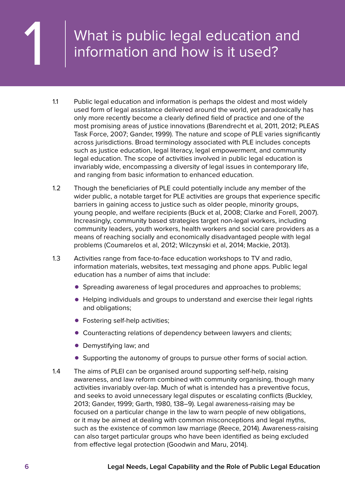# <span id="page-7-0"></span>What is public legal education and information and how is it used?

- 1.1 Public legal education and information is perhaps the oldest and most widely used form of legal assistance delivered around the world, yet paradoxically has only more recently become a clearly defined field of practice and one of the most promising areas of justice innovations (Barendrecht et al, 2011, 2012; PLEAS Task Force, 2007; Gander, 1999). The nature and scope of PLE varies significantly across jurisdictions. Broad terminology associated with PLE includes concepts such as justice education, legal literacy, legal empowerment, and community legal education. The scope of activities involved in public legal education is invariably wide, encompassing a diversity of legal issues in contemporary life, and ranging from basic information to enhanced education.
- 1.2 Though the beneficiaries of PLE could potentially include any member of the wider public, a notable target for PLE activities are groups that experience specific barriers in gaining access to justice such as older people, minority groups, young people, and welfare recipients (Buck et al, 2008; Clarke and Forell, 2007). Increasingly, community based strategies target non-legal workers, including community leaders, youth workers, health workers and social care providers as a means of reaching socially and economically disadvantaged people with legal problems (Coumarelos et al, 2012; Wilczynski et al, 2014; Mackie, 2013).
- 1.3 Activities range from face-to-face education workshops to TV and radio, information materials, websites, text messaging and phone apps. Public legal education has a number of aims that include:
	- Spreading awareness of legal procedures and approaches to problems;
	- • Helping individuals and groups to understand and exercise their legal rights and obligations;
	- Fostering self-help activities;
	- Counteracting relations of dependency between lawyers and clients;
	- Demystifying law; and
	- Supporting the autonomy of groups to pursue other forms of social action.
- 1.4 The aims of PLEI can be organised around supporting self-help, raising awareness, and law reform combined with community organising, though many activities invariably over-lap. Much of what is intended has a preventive focus, and seeks to avoid unnecessary legal disputes or escalating conflicts (Buckley, 2013; Gander, 1999; Garth, 1980, 138–9). Legal awareness-raising may be focused on a particular change in the law to warn people of new obligations, or it may be aimed at dealing with common misconceptions and legal myths, such as the existence of common law marriage (Reece, 2014). Awareness-raising can also target particular groups who have been identified as being excluded from effective legal protection (Goodwin and Maru, 2014).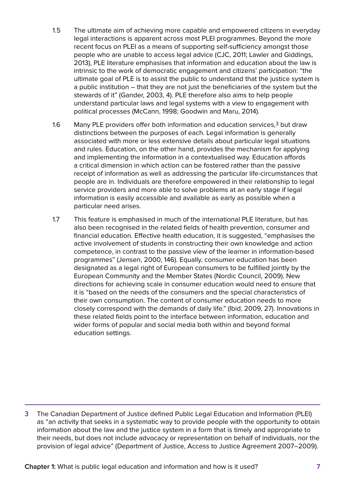- 1.5 The ultimate aim of achieving more capable and empowered citizens in everyday legal interactions is apparent across most PLEI programmes. Beyond the more recent focus on PLEI as a means of supporting self-sufficiency amongst those people who are unable to access legal advice (CJC, 2011; Lawler and Giddings, 2013), PLE literature emphasises that information and education about the law is intrinsic to the work of democratic engagement and citizens' participation: "the ultimate goal of PLE is to assist the public to understand that the justice system is a public institution – that they are not just the beneficiaries of the system but the stewards of it" (Gander, 2003, 4). PLE therefore also aims to help people understand particular laws and legal systems with a view to engagement with political processes (McCann, 1998; Goodwin and Maru, 2014).
- 1.6 Many PLE providers offer both information and education services.<sup>3</sup> but draw distinctions between the purposes of each. Legal information is generally associated with more or less extensive details about particular legal situations and rules. Education, on the other hand, provides the mechanism for applying and implementing the information in a contextualised way. Education affords a critical dimension in which action can be fostered rather than the passive receipt of information as well as addressing the particular life-circumstances that people are in. Individuals are therefore empowered in their relationship to legal service providers and more able to solve problems at an early stage if legal information is easily accessible and available as early as possible when a particular need arises.
- 1.7 This feature is emphasised in much of the international PLE literature, but has also been recognised in the related fields of health prevention, consumer and financial education. Effective health education, it is suggested, "emphasises the active involvement of students in constructing their own knowledge and action competence, in contrast to the passive view of the learner in information-based programmes" (Jensen, 2000, 146). Equally, consumer education has been designated as a legal right of European consumers to be fulfilled jointly by the European Community and the Member States (Nordic Council, 2009). New directions for achieving scale in consumer education would need to ensure that it is "based on the needs of the consumers and the special characteristics of their own consumption. The content of consumer education needs to more closely correspond with the demands of daily life." (Ibid, 2009, 27). Innovations in these related fields point to the interface between information, education and wider forms of popular and social media both within and beyond formal education settings.

3 The Canadian Department of Justice defined Public Legal Education and Information (PLEI) as "an activity that seeks in a systematic way to provide people with the opportunity to obtain information about the law and the justice system in a form that is timely and appropriate to their needs, but does not include advocacy or representation on behalf of individuals, nor the provision of legal advice" (Department of Justice, Access to Justice Agreement 2007–2009).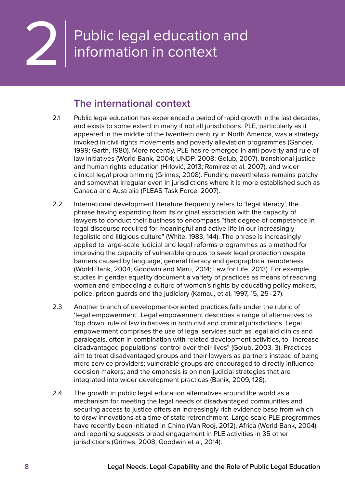<span id="page-9-0"></span>

# Public legal education and information in context

### **The international context**

- 2.1 Public legal education has experienced a period of rapid growth in the last decades, and exists to some extent in many if not all jurisdictions. PLE, particularly as it appeared in the middle of the twentieth century in North America, was a strategy invoked in civil rights movements and poverty alleviation programmes (Gander, 1999; Garth, 1980). More recently, PLE has re-emerged in anti-poverty and rule of law initiatives (World Bank, 2004; UNDP, 2008; Golub, 2007), transitional justice and human rights education (Hrlović, 2013; Ramirez et al, 2007), and wider clinical legal programming (Grimes, 2008). Funding nevertheless remains patchy and somewhat irregular even in jurisdictions where it is more established such as Canada and Australia (PLEAS Task Force, 2007).
- 2.2 International development literature frequently refers to 'legal literacy', the phrase having expanding from its original association with the capacity of lawyers to conduct their business to encompass "that degree of competence in legal discourse required for meaningful and active life in our increasingly legalistic and litigious culture" (White, 1983, 144). The phrase is increasingly applied to large-scale judicial and legal reforms programmes as a method for improving the capacity of vulnerable groups to seek legal protection despite barriers caused by language, general literacy and geographical remoteness (World Bank, 2004; Goodwin and Maru, 2014; Law for Life, 2013). For example, studies in gender equality document a variety of practices as means of reaching women and embedding a culture of women's rights by educating policy makers, police, prison guards and the judiciary (Kamau, et al, 1997, 15, 25–27).
- 2.3 Another branch of development-oriented practices falls under the rubric of 'legal empowerment'. Legal empowerment describes a range of alternatives to 'top down' rule of law initiatives in both civil and criminal jurisdictions. Legal empowerment comprises the use of legal services such as legal aid clinics and paralegals, often in combination with related development activities, to "increase disadvantaged populations' control over their lives" (Golub, 2003, 3). Practices aim to treat disadvantaged groups and their lawyers as partners instead of being mere service providers; vulnerable groups are encouraged to directly influence decision makers; and the emphasis is on non-judicial strategies that are integrated into wider development practices (Banik, 2009, 128).
- 2.4 The growth in public legal education alternatives around the world as a mechanism for meeting the legal needs of disadvantaged communities and securing access to justice offers an increasingly rich evidence base from which to draw innovations at a time of state retrenchment. Large-scale PLE programmes have recently been initiated in China (Van Rooj, 2012), Africa (World Bank, 2004) and reporting suggests broad engagement in PLE activities in 35 other jurisdictions (Grimes, 2008; Goodwin et al, 2014).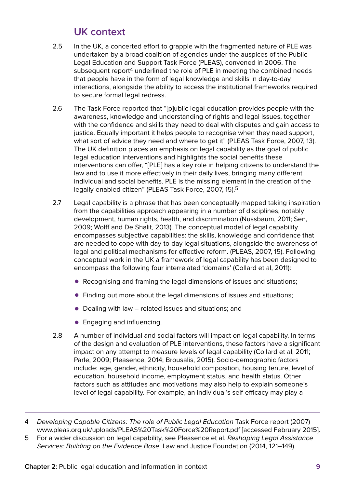# **UK context**

- 2.5 In the UK, a concerted effort to grapple with the fragmented nature of PLE was undertaken by a broad coalition of agencies under the auspices of the Public Legal Education and Support Task Force (PLEAS), convened in 2006. The subsequent report<sup>4</sup> underlined the role of PLE in meeting the combined needs that people have in the form of legal knowledge and skills in day-to-day interactions, alongside the ability to access the institutional frameworks required to secure formal legal redress.
- 2.6 The Task Force reported that "[p]ublic legal education provides people with the awareness, knowledge and understanding of rights and legal issues, together with the confidence and skills they need to deal with disputes and gain access to justice. Equally important it helps people to recognise when they need support, what sort of advice they need and where to get it" (PLEAS Task Force, 2007, 13). The UK definition places an emphasis on legal capability as the goal of public legal education interventions and highlights the social benefits these interventions can offer, "[PLE] has a key role in helping citizens to understand the law and to use it more effectively in their daily lives, bringing many different individual and social benefits. PLE is the missing element in the creation of the legally-enabled citizen" (PLEAS Task Force, 2007, 15).5
- 2.7 Legal capability is a phrase that has been conceptually mapped taking inspiration from the capabilities approach appearing in a number of disciplines, notably development, human rights, health, and discrimination (Nussbaum, 2011; Sen, 2009; Wolff and De Shalit, 2013). The conceptual model of legal capability encompasses subjective capabilities: the skills, knowledge and confidence that are needed to cope with day-to-day legal situations, alongside the awareness of legal and political mechanisms for effective reform. (PLEAS, 2007, 15). Following conceptual work in the UK a framework of legal capability has been designed to encompass the following four interrelated 'domains' (Collard et al, 2011):
	- Recognising and framing the legal dimensions of issues and situations;
	- Finding out more about the legal dimensions of issues and situations:
	- $\bullet$  Dealing with law related issues and situations; and
	- Engaging and influencing.
- 2.8 A number of individual and social factors will impact on legal capability. In terms of the design and evaluation of PLE interventions, these factors have a significant impact on any attempt to measure levels of legal capability (Collard et al, 2011; Parle, 2009; Pleasence, 2014; Brousalis, 2015). Socio-demographic factors include: age, gender, ethnicity, household composition, housing tenure, level of education, household income, employment status, and health status. Other factors such as attitudes and motivations may also help to explain someone's level of legal capability. For example, an individual's self-efficacy may play a

<sup>4</sup> Developing Capable Citizens: The role of Public Legal Education Task Force report (2007) [www.pleas.org.uk/uploads/PLEAS%20Task%20Force%20Report.pdf](http://www.pleas.org.uk/uploads/PLEAS%2520Task%2520Force%2520Report.pdf) [accessed February 2015].

<sup>5</sup> For a wider discussion on legal capability, see Pleasence et al. Reshaping Legal Assistance Services: Building on the Evidence Base. Law and Justice Foundation (2014, 121–149).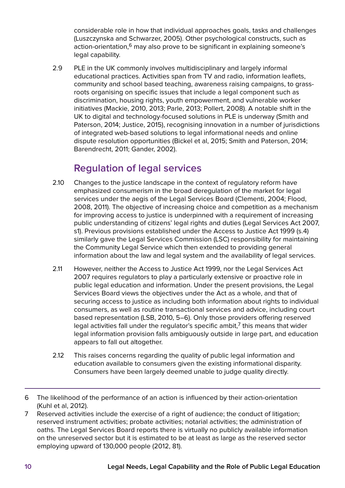considerable role in how that individual approaches goals, tasks and challenges (Luszczynska and Schwarzer, 2005). Other psychological constructs, such as action-orientation,<sup>6</sup> may also prove to be significant in explaining someone's legal capability.

2.9 PLE in the UK commonly involves multidisciplinary and largely informal educational practices. Activities span from TV and radio, information leaflets, community and school based teaching, awareness raising campaigns, to grassroots organising on specific issues that include a legal component such as discrimination, housing rights, youth empowerment, and vulnerable worker initiatives (Mackie, 2010, 2013; Parle, 2013; Pollert, 2008). A notable shift in the UK to digital and technology-focused solutions in PLE is underway (Smith and Paterson, 2014; Justice, 2015), recognising innovation in a number of jurisdictions of integrated web-based solutions to legal informational needs and online dispute resolution opportunities (Bickel et al, 2015; Smith and Paterson, 2014; Barendrecht, 2011; Gander, 2002).

# **Regulation of legal services**

- 2.10 Changes to the justice landscape in the context of regulatory reform have emphasized consumerism in the broad deregulation of the market for legal services under the aegis of the Legal Services Board (Clementi, 2004; Flood, 2008, 2011). The objective of increasing choice and competition as a mechanism for improving access to justice is underpinned with a requirement of increasing public understanding of citizens' legal rights and duties (Legal Services Act 2007, s1). Previous provisions established under the Access to Justice Act 1999 (s.4) similarly gave the Legal Services Commission (LSC) responsibility for maintaining the Community Legal Service which then extended to providing general information about the law and legal system and the availability of legal services.
- 2.11 However, neither the Access to Justice Act 1999, nor the Legal Services Act 2007 requires regulators to play a particularly extensive or proactive role in public legal education and information. Under the present provisions, the Legal Services Board views the objectives under the Act as a whole, and that of securing access to justice as including both information about rights to individual consumers, as well as routine transactional services and advice, including court based representation (LSB, 2010, 5–6). Only those providers offering reserved legal activities fall under the regulator's specific ambit, $<sup>7</sup>$  this means that wider</sup> legal information provision falls ambiguously outside in large part, and education appears to fall out altogether.
- 2.12 This raises concerns regarding the quality of public legal information and education available to consumers given the existing informational disparity. Consumers have been largely deemed unable to judge quality directly.

7 Reserved activities include the exercise of a right of audience; the conduct of litigation; reserved instrument activities; probate activities; notarial activities; the administration of oaths. The Legal Services Board reports there is virtually no publicly available information on the unreserved sector but it is estimated to be at least as large as the reserved sector employing upward of 130,000 people (2012, 81).

<sup>6</sup> The likelihood of the performance of an action is influenced by their action-orientation (Kuhl et al, 2012).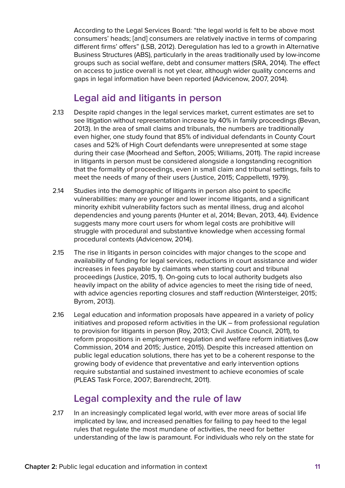According to the Legal Services Board: "the legal world is felt to be above most consumers' heads; [and] consumers are relatively inactive in terms of comparing different firms' offers" (LSB, 2012). Deregulation has led to a growth in Alternative Business Structures (ABS), particularly in the areas traditionally used by low-income groups such as social welfare, debt and consumer matters (SRA, 2014). The effect on access to justice overall is not yet clear, although wider quality concerns and gaps in legal information have been reported (Advicenow, 2007, 2014).

# **Legal aid and litigants in person**

- 2.13 Despite rapid changes in the legal services market, current estimates are set to see litigation without representation increase by 40% in family proceedings (Bevan, 2013). In the area of small claims and tribunals, the numbers are traditionally even higher, one study found that 85% of individual defendants in County Court cases and 52% of High Court defendants were unrepresented at some stage during their case (Moorhead and Sefton, 2005; Williams, 2011). The rapid increase in litigants in person must be considered alongside a longstanding recognition that the formality of proceedings, even in small claim and tribunal settings, fails to meet the needs of many of their users (Justice, 2015; Cappelletti, 1979).
- 2.14 Studies into the demographic of litigants in person also point to specific vulnerabilities: many are younger and lower income litigants, and a significant minority exhibit vulnerability factors such as mental illness, drug and alcohol dependencies and young parents (Hunter et al, 2014; Bevan, 2013, 44). Evidence suggests many more court users for whom legal costs are prohibitive will struggle with procedural and substantive knowledge when accessing formal procedural contexts (Advicenow, 2014).
- 2.15 The rise in litigants in person coincides with major changes to the scope and availability of funding for legal services, reductions in court assistance and wider increases in fees payable by claimants when starting court and tribunal proceedings (Justice, 2015, 1). On-going cuts to local authority budgets also heavily impact on the ability of advice agencies to meet the rising tide of need, with advice agencies reporting closures and staff reduction (Wintersteiger, 2015; Byrom, 2013).
- 2.16 Legal education and information proposals have appeared in a variety of policy initiatives and proposed reform activities in the UK – from professional regulation to provision for litigants in person (Roy, 2013; Civil Justice Council, 2011), to reform propositions in employment regulation and welfare reform initiatives (Low Commission, 2014 and 2015; Justice, 2015). Despite this increased attention on public legal education solutions, there has yet to be a coherent response to the growing body of evidence that preventative and early intervention options require substantial and sustained investment to achieve economies of scale (PLEAS Task Force, 2007; Barendrecht, 2011).

# **Legal complexity and the rule of law**

2.17 In an increasingly complicated legal world, with ever more areas of social life implicated by law, and increased penalties for failing to pay heed to the legal rules that regulate the most mundane of activities, the need for better understanding of the law is paramount. For individuals who rely on the state for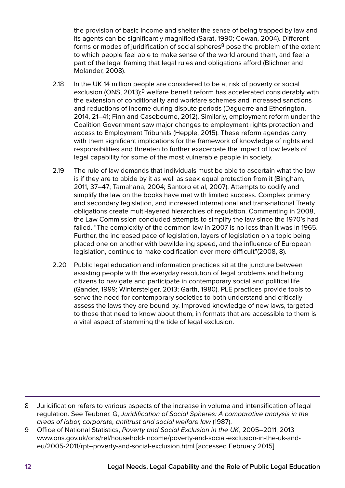the provision of basic income and shelter the sense of being trapped by law and its agents can be significantly magnified (Sarat, 1990; Cowan, 2004). Different forms or modes of juridification of social spheres<sup>8</sup> pose the problem of the extent to which people feel able to make sense of the world around them, and feel a part of the legal framing that legal rules and obligations afford (Blichner and Molander, 2008).

- 2.18 In the UK 14 million people are considered to be at risk of poverty or social exclusion (ONS, 2013);<sup>9</sup> welfare benefit reform has accelerated considerably with the extension of conditionality and workfare schemes and increased sanctions and reductions of income during dispute periods (Daguerre and Etherington, 2014, 21–41; Finn and Casebourne, 2012). Similarly, employment reform under the Coalition Government saw major changes to employment rights protection and access to Employment Tribunals (Hepple, 2015). These reform agendas carry with them significant implications for the framework of knowledge of rights and responsibilities and threaten to further exacerbate the impact of low levels of legal capability for some of the most vulnerable people in society.
- 2.19 The rule of law demands that individuals must be able to ascertain what the law is if they are to abide by it as well as seek equal protection from it (Bingham, 2011, 37–47; Tamahana, 2004; Santoro et al, 2007). Attempts to codify and simplify the law on the books have met with limited success. Complex primary and secondary legislation, and increased international and trans-national Treaty obligations create multi-layered hierarchies of regulation. Commenting in 2008, the Law Commission concluded attempts to simplify the law since the 1970's had failed. "The complexity of the common law in 2007 is no less than it was in 1965. Further, the increased pace of legislation, layers of legislation on a topic being placed one on another with bewildering speed, and the influence of European legislation, continue to make codification ever more difficult"(2008, 8).
- 2.20 Public legal education and information practices sit at the juncture between assisting people with the everyday resolution of legal problems and helping citizens to navigate and participate in contemporary social and political life (Gander, 1999; Wintersteiger, 2013; Garth, 1980). PLE practices provide tools to serve the need for contemporary societies to both understand and critically assess the laws they are bound by. Improved knowledge of new laws, targeted to those that need to know about them, in formats that are accessible to them is a vital aspect of stemming the tide of legal exclusion.

<sup>8</sup> Juridification refers to various aspects of the increase in volume and intensification of legal regulation. See Teubner. G, Juridification of Social Spheres: A comparative analysis in the areas of labor, corporate, antitrust and social welfare law (1987).

<sup>9</sup> Office of National Statistics, Poverty and Social Exclusion in the UK, 2005–2011, 2013 [www.ons.gov.uk/ons/rel/household-income/poverty-and-social-exclusion-in-the-uk-and](http://www.ons.gov.uk/ons/rel/household-income/poverty-and-social-exclusion-in-the-uk-and-eu/2005-2011/rpt--poverty-and-social-exclusion.html)[eu/2005-2011/rpt--poverty-and-social-exclusion.html](http://www.ons.gov.uk/ons/rel/household-income/poverty-and-social-exclusion-in-the-uk-and-eu/2005-2011/rpt--poverty-and-social-exclusion.html) [accessed February 2015].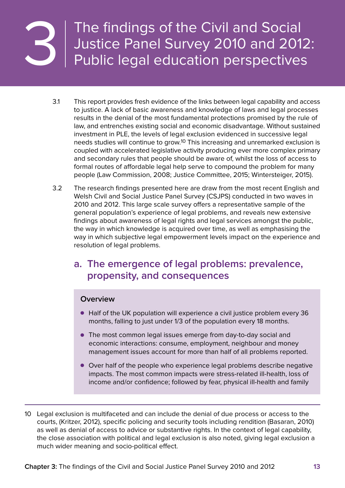<span id="page-14-0"></span>

The findings of the Civil and Social Justice Panel Survey 2010 and 2012:<br>Public legal education perspectives

- 3.1 This report provides fresh evidence of the links between legal capability and access to justice. A lack of basic awareness and knowledge of laws and legal processes results in the denial of the most fundamental protections promised by the rule of law, and entrenches existing social and economic disadvantage. Without sustained investment in PLE, the levels of legal exclusion evidenced in successive legal needs studies will continue to grow.10 This increasing and unremarked exclusion is coupled with accelerated legislative activity producing ever more complex primary and secondary rules that people should be aware of, whilst the loss of access to formal routes of affordable legal help serve to compound the problem for many people (Law Commission, 2008; Justice Committee, 2015; Wintersteiger, 2015).
- 3.2 The research findings presented here are draw from the most recent English and Welsh Civil and Social Justice Panel Survey (CSJPS) conducted in two waves in 2010 and 2012. This large scale survey offers a representative sample of the general population's experience of legal problems, and reveals new extensive findings about awareness of legal rights and legal services amongst the public, the way in which knowledge is acquired over time, as well as emphasising the way in which subjective legal empowerment levels impact on the experience and resolution of legal problems.

# **a. The emergence of legal problems: prevalence, propensity, and consequences**

#### **Overview**

- Half of the UK population will experience a civil justice problem every 36 months, falling to just under 1/3 of the population every 18 months.
- The most common legal issues emerge from day-to-day social and economic interactions: consume, employment, neighbour and money management issues account for more than half of all problems reported.
- Over half of the people who experience legal problems describe negative impacts. The most common impacts were stress-related ill-health, loss of income and/or confidence; followed by fear, physical ill-health and family
- 10 Legal exclusion is multifaceted and can include the denial of due process or access to the courts, (Kritzer, 2012), specific policing and security tools including rendition (Basaran, 2010) as well as denial of access to advice or substantive rights. In the context of legal capability, the close association with political and legal exclusion is also noted, giving legal exclusion a much wider meaning and socio-political effect.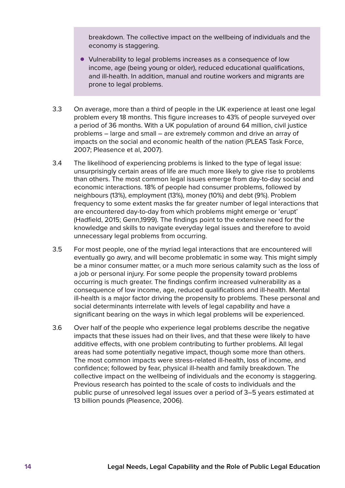breakdown. The collective impact on the wellbeing of individuals and the economy is staggering.

- Vulnerability to legal problems increases as a consequence of low income, age (being young or older), reduced educational qualifications, and ill-health. In addition, manual and routine workers and migrants are prone to legal problems.
- 3.3 On average, more than a third of people in the UK experience at least one legal problem every 18 months. This figure increases to 43% of people surveyed over a period of 36 months. With a UK population of around 64 million, civil justice problems – large and small – are extremely common and drive an array of impacts on the social and economic health of the nation (PLEAS Task Force, 2007; Pleasence et al, 2007).
- 3.4 The likelihood of experiencing problems is linked to the type of legal issue: unsurprisingly certain areas of life are much more likely to give rise to problems than others. The most common legal issues emerge from day-to-day social and economic interactions. 18% of people had consumer problems, followed by neighbours (13%), employment (13%), money (10%) and debt (9%). Problem frequency to some extent masks the far greater number of legal interactions that are encountered day-to-day from which problems might emerge or 'erupt' (Hadfield, 2015; Genn,1999). The findings point to the extensive need for the knowledge and skills to navigate everyday legal issues and therefore to avoid unnecessary legal problems from occurring.
- 3.5 For most people, one of the myriad legal interactions that are encountered will eventually go awry, and will become problematic in some way. This might simply be a minor consumer matter, or a much more serious calamity such as the loss of a job or personal injury. For some people the propensity toward problems occurring is much greater. The findings confirm increased vulnerability as a consequence of low income, age, reduced qualifications and ill-health. Mental ill-health is a major factor driving the propensity to problems. These personal and social determinants interrelate with levels of legal capability and have a significant bearing on the ways in which legal problems will be experienced.
- 3.6 Over half of the people who experience legal problems describe the negative impacts that these issues had on their lives, and that these were likely to have additive effects, with one problem contributing to further problems. All legal areas had some potentially negative impact, though some more than others. The most common impacts were stress-related ill-health, loss of income, and confidence; followed by fear, physical ill-health and family breakdown. The collective impact on the wellbeing of individuals and the economy is staggering. Previous research has pointed to the scale of costs to individuals and the public purse of unresolved legal issues over a period of 3–5 years estimated at 13 billion pounds (Pleasence, 2006).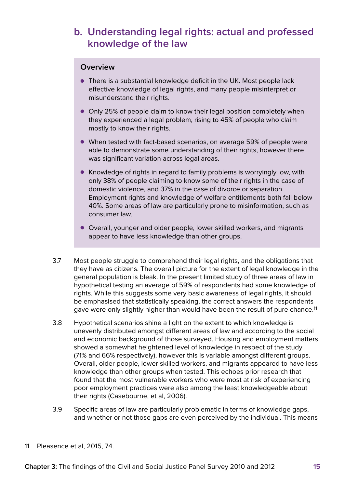# <span id="page-16-0"></span>**b. Understanding legal rights: actual and professed knowledge of the law**

#### **Overview**

- There is a substantial knowledge deficit in the UK. Most people lack effective knowledge of legal rights, and many people misinterpret or misunderstand their rights.
- Only 25% of people claim to know their legal position completely when they experienced a legal problem, rising to 45% of people who claim mostly to know their rights.
- When tested with fact-based scenarios, on average 59% of people were able to demonstrate some understanding of their rights, however there was significant variation across legal areas.
- Knowledge of rights in regard to family problems is worryingly low, with only 38% of people claiming to know some of their rights in the case of domestic violence, and 37% in the case of divorce or separation. Employment rights and knowledge of welfare entitlements both fall below 40%. Some areas of law are particularly prone to misinformation, such as consumer law.
- Overall, younger and older people, lower skilled workers, and migrants appear to have less knowledge than other groups.
- 3.7 Most people struggle to comprehend their legal rights, and the obligations that they have as citizens. The overall picture for the extent of legal knowledge in the general population is bleak. In the present limited study of three areas of law in hypothetical testing an average of 59% of respondents had some knowledge of rights. While this suggests some very basic awareness of legal rights, it should be emphasised that statistically speaking, the correct answers the respondents gave were only slightly higher than would have been the result of pure chance.<sup>11</sup>
- 3.8 Hypothetical scenarios shine a light on the extent to which knowledge is unevenly distributed amongst different areas of law and according to the social and economic background of those surveyed. Housing and employment matters showed a somewhat heightened level of knowledge in respect of the study (71% and 66% respectively), however this is variable amongst different groups. Overall, older people, lower skilled workers, and migrants appeared to have less knowledge than other groups when tested. This echoes prior research that found that the most vulnerable workers who were most at risk of experiencing poor employment practices were also among the least knowledgeable about their rights (Casebourne, et al, 2006).
- 3.9 Specific areas of law are particularly problematic in terms of knowledge gaps, and whether or not those gaps are even perceived by the individual. This means

<sup>11</sup> Pleasence et al, 2015, 74.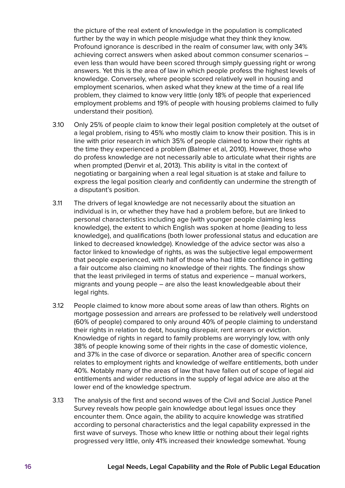the picture of the real extent of knowledge in the population is complicated further by the way in which people misjudge what they think they know. Profound ignorance is described in the realm of consumer law, with only 34% achieving correct answers when asked about common consumer scenarios – even less than would have been scored through simply guessing right or wrong answers. Yet this is the area of law in which people profess the highest levels of knowledge. Conversely, where people scored relatively well in housing and employment scenarios, when asked what they knew at the time of a real life problem, they claimed to know very little (only 18% of people that experienced employment problems and 19% of people with housing problems claimed to fully understand their position).

- 3.10 Only 25% of people claim to know their legal position completely at the outset of a legal problem, rising to 45% who mostly claim to know their position. This is in line with prior research in which 35% of people claimed to know their rights at the time they experienced a problem (Balmer et al, 2010). However, those who do profess knowledge are not necessarily able to articulate what their rights are when prompted (Denvir et al, 2013). This ability is vital in the context of negotiating or bargaining when a real legal situation is at stake and failure to express the legal position clearly and confidently can undermine the strength of a disputant's position.
- 3.11 The drivers of legal knowledge are not necessarily about the situation an individual is in, or whether they have had a problem before, but are linked to personal characteristics including age (with younger people claiming less knowledge), the extent to which English was spoken at home (leading to less knowledge), and qualifications (both lower professional status and education are linked to decreased knowledge). Knowledge of the advice sector was also a factor linked to knowledge of rights, as was the subjective legal empowerment that people experienced, with half of those who had little confidence in getting a fair outcome also claiming no knowledge of their rights. The findings show that the least privileged in terms of status and experience – manual workers, migrants and young people – are also the least knowledgeable about their legal rights.
- 3.12 People claimed to know more about some areas of law than others. Rights on mortgage possession and arrears are professed to be relatively well understood (60% of people) compared to only around 40% of people claiming to understand their rights in relation to debt, housing disrepair, rent arrears or eviction. Knowledge of rights in regard to family problems are worryingly low, with only 38% of people knowing some of their rights in the case of domestic violence, and 37% in the case of divorce or separation. Another area of specific concern relates to employment rights and knowledge of welfare entitlements, both under 40%. Notably many of the areas of law that have fallen out of scope of legal aid entitlements and wider reductions in the supply of legal advice are also at the lower end of the knowledge spectrum.
- 3.13 The analysis of the first and second waves of the Civil and Social Justice Panel Survey reveals how people gain knowledge about legal issues once they encounter them. Once again, the ability to acquire knowledge was stratified according to personal characteristics and the legal capability expressed in the first wave of surveys. Those who knew little or nothing about their legal rights progressed very little, only 41% increased their knowledge somewhat. Young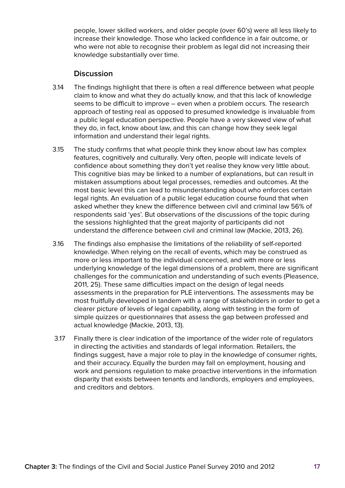people, lower skilled workers, and older people (over 60's) were all less likely to increase their knowledge. Those who lacked confidence in a fair outcome, or who were not able to recognise their problem as legal did not increasing their knowledge substantially over time.

#### **Discussion**

- 3.14 The findings highlight that there is often a real difference between what people claim to know and what they do actually know, and that this lack of knowledge seems to be difficult to improve – even when a problem occurs. The research approach of testing real as opposed to presumed knowledge is invaluable from a public legal education perspective. People have a very skewed view of what they do, in fact, know about law, and this can change how they seek legal information and understand their legal rights.
- 3.15 The study confirms that what people think they know about law has complex features, cognitively and culturally. Very often, people will indicate levels of confidence about something they don't yet realise they know very little about. This cognitive bias may be linked to a number of explanations, but can result in mistaken assumptions about legal processes, remedies and outcomes. At the most basic level this can lead to misunderstanding about who enforces certain legal rights. An evaluation of a public legal education course found that when asked whether they knew the difference between civil and criminal law 56% of respondents said 'yes'. But observations of the discussions of the topic during the sessions highlighted that the great majority of participants did not understand the difference between civil and criminal law (Mackie, 2013, 26).
- 3.16 The findings also emphasise the limitations of the reliability of self-reported knowledge. When relying on the recall of events, which may be construed as more or less important to the individual concerned, and with more or less underlying knowledge of the legal dimensions of a problem, there are significant challenges for the communication and understanding of such events (Pleasence, 2011, 25). These same difficulties impact on the design of legal needs assessments in the preparation for PLE interventions. The assessments may be most fruitfully developed in tandem with a range of stakeholders in order to get a clearer picture of levels of legal capability, along with testing in the form of simple quizzes or questionnaires that assess the gap between professed and actual knowledge (Mackie, 2013, 13).
- 3.17 Finally there is clear indication of the importance of the wider role of regulators in directing the activities and standards of legal information. Retailers, the findings suggest, have a major role to play in the knowledge of consumer rights, and their accuracy. Equally the burden may fall on employment, housing and work and pensions regulation to make proactive interventions in the information disparity that exists between tenants and landlords, employers and employees, and creditors and debtors.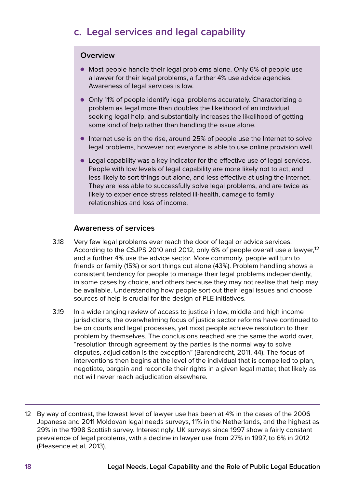# <span id="page-19-0"></span>**c. Legal services and legal capability**

#### **Overview**

- Most people handle their legal problems alone. Only 6% of people use a lawyer for their legal problems, a further 4% use advice agencies. Awareness of legal services is low.
- • Only 11% of people identify legal problems accurately. Characterizing a problem as legal more than doubles the likelihood of an individual seeking legal help, and substantially increases the likelihood of getting some kind of help rather than handling the issue alone.
- $\bullet$  Internet use is on the rise, around 25% of people use the Internet to solve legal problems, however not everyone is able to use online provision well.
- Legal capability was a key indicator for the effective use of legal services. People with low levels of legal capability are more likely not to act, and less likely to sort things out alone, and less effective at using the Internet. They are less able to successfully solve legal problems, and are twice as likely to experience stress related ill-health, damage to family relationships and loss of income.

#### **Awareness of services**

- 3.18 Very few legal problems ever reach the door of legal or advice services. According to the CSJPS 2010 and 2012, only 6% of people overall use a lawyer,<sup>12</sup> and a further 4% use the advice sector. More commonly, people will turn to friends or family (15%) or sort things out alone (43%). Problem handling shows a consistent tendency for people to manage their legal problems independently, in some cases by choice, and others because they may not realise that help may be available. Understanding how people sort out their legal issues and choose sources of help is crucial for the design of PLE initiatives.
- 3.19 In a wide ranging review of access to justice in low, middle and high income jurisdictions, the overwhelming focus of justice sector reforms have continued to be on courts and legal processes, yet most people achieve resolution to their problem by themselves. The conclusions reached are the same the world over, "resolution through agreement by the parties is the normal way to solve disputes, adjudication is the exception" (Barendrecht, 2011, 44). The focus of interventions then begins at the level of the individual that is compelled to plan, negotiate, bargain and reconcile their rights in a given legal matter, that likely as not will never reach adjudication elsewhere.

<sup>12</sup> By way of contrast, the lowest level of lawyer use has been at 4% in the cases of the 2006 Japanese and 2011 Moldovan legal needs surveys, 11% in the Netherlands, and the highest as 29% in the 1998 Scottish survey. Interestingly, UK surveys since 1997 show a fairly constant prevalence of legal problems, with a decline in lawyer use from 27% in 1997, to 6% in 2012 (Pleasence et al, 2013).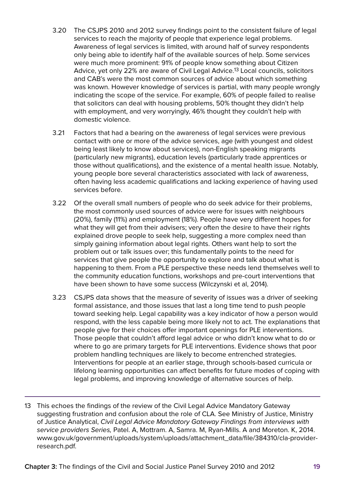- 3.20 The CSJPS 2010 and 2012 survey findings point to the consistent failure of legal services to reach the majority of people that experience legal problems. Awareness of legal services is limited, with around half of survey respondents only being able to identify half of the available sources of help. Some services were much more prominent: 91% of people know something about Citizen Advice, yet only 22% are aware of Civil Legal Advice.13 Local councils, solicitors and CAB's were the most common sources of advice about which something was known. However knowledge of services is partial, with many people wrongly indicating the scope of the service. For example, 60% of people failed to realise that solicitors can deal with housing problems, 50% thought they didn't help with employment, and very worryingly, 46% thought they couldn't help with domestic violence.
- 3.21 Factors that had a bearing on the awareness of legal services were previous contact with one or more of the advice services, age (with youngest and oldest being least likely to know about services), non-English speaking migrants (particularly new migrants), education levels (particularly trade apprentices or those without qualifications), and the existence of a mental health issue. Notably, young people bore several characteristics associated with lack of awareness, often having less academic qualifications and lacking experience of having used services before.
- 3.22 Of the overall small numbers of people who do seek advice for their problems, the most commonly used sources of advice were for issues with neighbours (20%), family (11%) and employment (18%). People have very different hopes for what they will get from their advisers; very often the desire to have their rights explained drove people to seek help, suggesting a more complex need than simply gaining information about legal rights. Others want help to sort the problem out or talk issues over; this fundamentally points to the need for services that give people the opportunity to explore and talk about what is happening to them. From a PLE perspective these needs lend themselves well to the community education functions, workshops and pre-court interventions that have been shown to have some success (Wilczynski et al, 2014).
- 3.23 CSJPS data shows that the measure of severity of issues was a driver of seeking formal assistance, and those issues that last a long time tend to push people toward seeking help. Legal capability was a key indicator of how a person would respond, with the less capable being more likely not to act. The explanations that people give for their choices offer important openings for PLE interventions. Those people that couldn't afford legal advice or who didn't know what to do or where to go are primary targets for PLE interventions. Evidence shows that poor problem handling techniques are likely to become entrenched strategies. Interventions for people at an earlier stage, through schools-based curricula or lifelong learning opportunities can affect benefits for future modes of coping with legal problems, and improving knowledge of alternative sources of help.
- 13 This echoes the findings of the review of the Civil Legal Advice Mandatory Gateway suggesting frustration and confusion about the role of CLA. See Ministry of Justice, Ministry of Justice Analytical, Civil Legal Advice Mandatory Gateway Findings from interviews with service providers Series, Patel. A, Mottram. A, Samra. M, Ryan-Mills. A and Moreton. K, 2014. [www.gov.uk/government/uploads/system/uploads/attachment\\_data/file/384310/cla-provider](https://www.gov.uk/government/uploads/system/uploads/attachment_data/file/384310/cla-provider-research.pdf)[research.pdf](https://www.gov.uk/government/uploads/system/uploads/attachment_data/file/384310/cla-provider-research.pdf).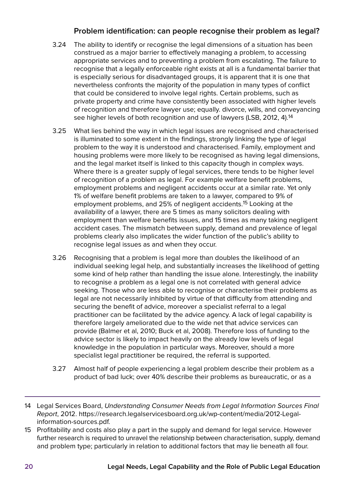#### **Problem identification: can people recognise their problem as legal?**

- 3.24 The ability to identify or recognise the legal dimensions of a situation has been construed as a major barrier to effectively managing a problem, to accessing appropriate services and to preventing a problem from escalating. The failure to recognise that a legally enforceable right exists at all is a fundamental barrier that is especially serious for disadvantaged groups, it is apparent that it is one that nevertheless confronts the majority of the population in many types of conflict that could be considered to involve legal rights. Certain problems, such as private property and crime have consistently been associated with higher levels of recognition and therefore lawyer use; equally. divorce, wills, and conveyancing see higher levels of both recognition and use of lawyers (LSB, 2012, 4).14
- 3.25 What lies behind the way in which legal issues are recognised and characterised is illuminated to some extent in the findings, strongly linking the type of legal problem to the way it is understood and characterised. Family, employment and housing problems were more likely to be recognised as having legal dimensions, and the legal market itself is linked to this capacity though in complex ways. Where there is a greater supply of legal services, there tends to be higher level of recognition of a problem as legal. For example welfare benefit problems, employment problems and negligent accidents occur at a similar rate. Yet only 1% of welfare benefit problems are taken to a lawyer, compared to 9% of employment problems, and 25% of negligent accidents.15 Looking at the availability of a lawyer, there are 5 times as many solicitors dealing with employment than welfare benefits issues, and 15 times as many taking negligent accident cases. The mismatch between supply, demand and prevalence of legal problems clearly also implicates the wider function of the public's ability to recognise legal issues as and when they occur.
- 3.26 Recognising that a problem is legal more than doubles the likelihood of an individual seeking legal help, and substantially increases the likelihood of getting some kind of help rather than handling the issue alone. Interestingly, the inability to recognise a problem as a legal one is not correlated with general advice seeking. Those who are less able to recognise or characterise their problems as legal are not necessarily inhibited by virtue of that difficulty from attending and securing the benefit of advice, moreover a specialist referral to a legal practitioner can be facilitated by the advice agency. A lack of legal capability is therefore largely ameliorated due to the wide net that advice services can provide (Balmer et al, 2010; Buck et al, 2008). Therefore loss of funding to the advice sector is likely to impact heavily on the already low levels of legal knowledge in the population in particular ways. Moreover, should a more specialist legal practitioner be required, the referral is supported.
- 3.27 Almost half of people experiencing a legal problem describe their problem as a product of bad luck; over 40% describe their problems as bureaucratic, or as a
- 14 Legal Services Board, Understanding Consumer Needs from Legal Information Sources Final Report, 2012. [https://research.legalservicesboard.org.uk/wp-content/media/2012-Legal](https://research.legalservicesboard.org.uk/wp-content/media/2012-Legal-information-sources.pdf)[information-sources.pdf](https://research.legalservicesboard.org.uk/wp-content/media/2012-Legal-information-sources.pdf).
- 15 Profitability and costs also play a part in the supply and demand for legal service. However further research is required to unravel the relationship between characterisation, supply, demand and problem type; particularly in relation to additional factors that may lie beneath all four.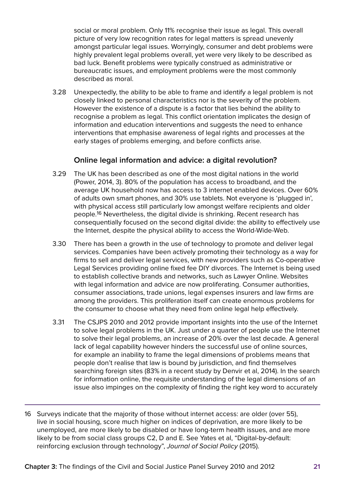social or moral problem. Only 11% recognise their issue as legal. This overall picture of very low recognition rates for legal matters is spread unevenly amongst particular legal issues. Worryingly, consumer and debt problems were highly prevalent legal problems overall, yet were very likely to be described as bad luck. Benefit problems were typically construed as administrative or bureaucratic issues, and employment problems were the most commonly described as moral.

3.28 Unexpectedly, the ability to be able to frame and identify a legal problem is not closely linked to personal characteristics nor is the severity of the problem. However the existence of a dispute is a factor that lies behind the ability to recognise a problem as legal. This conflict orientation implicates the design of information and education interventions and suggests the need to enhance interventions that emphasise awareness of legal rights and processes at the early stages of problems emerging, and before conflicts arise.

#### **Online legal information and advice: a digital revolution?**

- 3.29 The UK has been described as one of the most digital nations in the world (Power, 2014, 3). 80% of the population has access to broadband, and the average UK household now has access to 3 internet enabled devices. Over 60% of adults own smart phones, and 30% use tablets. Not everyone is 'plugged in', with physical access still particularly low amongst welfare recipients and older people.16 Nevertheless, the digital divide is shrinking. Recent research has consequentially focused on the second digital divide: the ability to effectively use the Internet, despite the physical ability to access the World-Wide-Web.
- 3.30 There has been a growth in the use of technology to promote and deliver legal services. Companies have been actively promoting their technology as a way for firms to sell and deliver legal services, with new providers such as Co-operative Legal Services providing online fixed fee DIY divorces. The Internet is being used to establish collective brands and networks, such as Lawyer Online. Websites with legal information and advice are now proliferating. Consumer authorities, consumer associations, trade unions, legal expenses insurers and law firms are among the providers. This proliferation itself can create enormous problems for the consumer to choose what they need from online legal help effectively.
- 3.31 The CSJPS 2010 and 2012 provide important insights into the use of the Internet to solve legal problems in the UK. Just under a quarter of people use the Internet to solve their legal problems, an increase of 20% over the last decade. A general lack of legal capability however hinders the successful use of online sources, for example an inability to frame the legal dimensions of problems means that people don't realise that law is bound by jurisdiction, and find themselves searching foreign sites (83% in a recent study by Denvir et al, 2014). In the search for information online, the requisite understanding of the legal dimensions of an issue also impinges on the complexity of finding the right key word to accurately
- 16 Surveys indicate that the majority of those without internet access: are older (over 55), live in social housing, score much higher on indices of deprivation, are more likely to be unemployed, are more likely to be disabled or have long-term health issues, and are more likely to be from social class groups C2, D and E. See Yates et al, "Digital-by-default: reinforcing exclusion through technology", Journal of Social Policy (2015).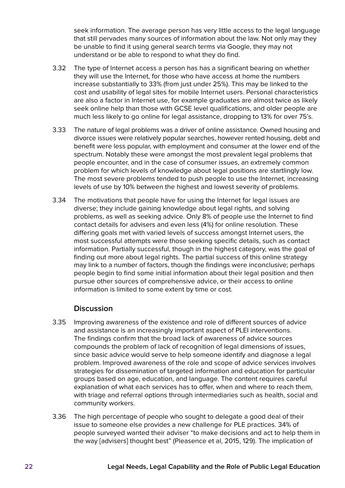seek information. The average person has very little access to the legal language that still pervades many sources of information about the law. Not only may they be unable to find it using general search terms via Google, they may not understand or be able to respond to what they do find.

- 3.32 The type of Internet access a person has has a significant bearing on whether they will use the Internet, for those who have access at home the numbers increase substantially to 33% (from just under 25%). This may be linked to the cost and usability of legal sites for mobile Internet users. Personal characteristics are also a factor in Internet use, for example graduates are almost twice as likely seek online help than those with GCSE level qualifications, and older people are much less likely to go online for legal assistance, dropping to 13% for over 75's.
- 3.33 The nature of legal problems was a driver of online assistance. Owned housing and divorce issues were relatively popular searches, however rented housing, debt and benefit were less popular, with employment and consumer at the lower end of the spectrum. Notably these were amongst the most prevalent legal problems that people encounter, and in the case of consumer issues, an extremely common problem for which levels of knowledge about legal positions are startlingly low. The most severe problems tended to push people to use the Internet, increasing levels of use by 10% between the highest and lowest severity of problems.
- 3.34 The motivations that people have for using the Internet for legal issues are diverse; they include gaining knowledge about legal rights, and solving problems, as well as seeking advice. Only 8% of people use the Internet to find contact details for advisers and even less (4%) for online resolution. These differing goals met with varied levels of success amongst Internet users, the most successful attempts were those seeking specific details, such as contact information. Partially successful, though in the highest category, was the goal of finding out more about legal rights. The partial success of this online strategy may link to a number of factors, though the findings were inconclusive; perhaps people begin to find some initial information about their legal position and then pursue other sources of comprehensive advice, or their access to online information is limited to some extent by time or cost.

#### **Discussion**

- 3.35 Improving awareness of the existence and role of different sources of advice and assistance is an increasingly important aspect of PLEI interventions. The findings confirm that the broad lack of awareness of advice sources compounds the problem of lack of recognition of legal dimensions of issues, since basic advice would serve to help someone identify and diagnose a legal problem. Improved awareness of the role and scope of advice services involves strategies for dissemination of targeted information and education for particular groups based on age, education, and language. The content requires careful explanation of what each services has to offer, when and where to reach them, with triage and referral options through intermediaries such as health, social and community workers.
- 3.36 The high percentage of people who sought to delegate a good deal of their issue to someone else provides a new challenge for PLE practices. 34% of people surveyed wanted their adviser "to make decisions and act to help them in the way [advisers] thought best" (Pleasence et al, 2015, 129). The implication of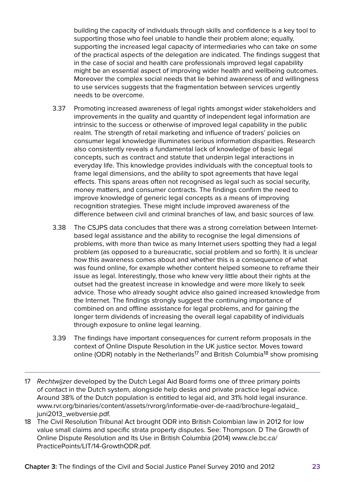building the capacity of individuals through skills and confidence is a key tool to supporting those who feel unable to handle their problem alone; equally, supporting the increased legal capacity of intermediaries who can take on some of the practical aspects of the delegation are indicated. The findings suggest that in the case of social and health care professionals improved legal capability might be an essential aspect of improving wider health and wellbeing outcomes. Moreover the complex social needs that lie behind awareness of and willingness to use services suggests that the fragmentation between services urgently needs to be overcome.

- 3.37 Promoting increased awareness of legal rights amongst wider stakeholders and improvements in the quality and quantity of independent legal information are intrinsic to the success or otherwise of improved legal capability in the public realm. The strength of retail marketing and influence of traders' policies on consumer legal knowledge illuminates serious information disparities. Research also consistently reveals a fundamental lack of knowledge of basic legal concepts, such as contract and statute that underpin legal interactions in everyday life. This knowledge provides individuals with the conceptual tools to frame legal dimensions, and the ability to spot agreements that have legal effects. This spans areas often not recognised as legal such as social security, money matters, and consumer contracts. The findings confirm the need to improve knowledge of generic legal concepts as a means of improving recognition strategies. These might include improved awareness of the difference between civil and criminal branches of law, and basic sources of law.
- 3.38 The CSJPS data concludes that there was a strong correlation between Internetbased legal assistance and the ability to recognise the legal dimensions of problems, with more than twice as many Internet users spotting they had a legal problem (as opposed to a bureaucratic, social problem and so forth). It is unclear how this awareness comes about and whether this is a consequence of what was found online, for example whether content helped someone to reframe their issue as legal. Interestingly, those who knew very little about their rights at the outset had the greatest increase in knowledge and were more likely to seek advice. Those who already sought advice also gained increased knowledge from the Internet. The findings strongly suggest the continuing importance of combined on and offline assistance for legal problems, and for gaining the longer term dividends of increasing the overall legal capability of individuals through exposure to online legal learning.
- 3.39 The findings have important consequences for current reform proposals in the context of Online Dispute Resolution in the UK justice sector. Moves toward online (ODR) notably in the Netherlands<sup>17</sup> and British Columbia<sup>18</sup> show promising
- 17 Rechtwijzer developed by the Dutch Legal Aid Board forms one of three primary points of contact in the Dutch system, alongside help desks and private practice legal advice. Around 38% of the Dutch population is entitled to legal aid, and 31% hold legal insurance. [www.rvr.org/binaries/content/assets/rvrorg/informatie-over-de-raad/brochure-legalaid\\_](http://www.rvr.org/binaries/content/assets/rvrorg/informatie-over-de-raad/brochure-legalaid_juni2013_webversie.pdf) [juni2013\\_webversie.pdf.](http://www.rvr.org/binaries/content/assets/rvrorg/informatie-over-de-raad/brochure-legalaid_juni2013_webversie.pdf)
- 18 The Civil Resolution Tribunal Act brought ODR into British Colombian law in 2012 for low value small claims and specific strata property disputes. See: Thompson. D The Growth of Online Dispute Resolution and Its Use in British Columbia (2014) [www.cle.bc.ca/](https://www.cle.bc.ca/PracticePoints/LIT/14-GrowthODR.pdf) [PracticePoints/LIT/14-GrowthODR.pdf.](https://www.cle.bc.ca/PracticePoints/LIT/14-GrowthODR.pdf)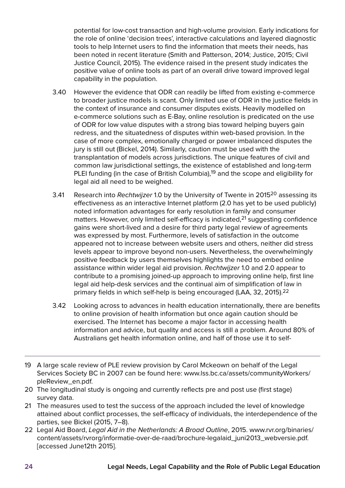potential for low-cost transaction and high-volume provision. Early indications for the role of online 'decision trees', interactive calculations and layered diagnostic tools to help Internet users to find the information that meets their needs, has been noted in recent literature (Smith and Patterson, 2014; Justice, 2015; Civil Justice Council, 2015). The evidence raised in the present study indicates the positive value of online tools as part of an overall drive toward improved legal capability in the population.

- 3.40 However the evidence that ODR can readily be lifted from existing e-commerce to broader justice models is scant. Only limited use of ODR in the justice fields in the context of insurance and consumer disputes exists. Heavily modelled on e-commerce solutions such as E-Bay, online resolution is predicated on the use of ODR for low value disputes with a strong bias toward helping buyers gain redress, and the situatedness of disputes within web-based provision. In the case of more complex, emotionally charged or power imbalanced disputes the jury is still out (Bickel, 2014). Similarly, caution must be used with the transplantation of models across jurisdictions. The unique features of civil and common law jurisdictional settings, the existence of established and long-term PLEI funding (in the case of British Columbia),<sup>19</sup> and the scope and eligibility for legal aid all need to be weighed.
- 3.41 Research into Rechtwijzer 1.0 by the University of Twente in 2015<sup>20</sup> assessing its effectiveness as an interactive Internet platform (2.0 has yet to be used publicly) noted information advantages for early resolution in family and consumer matters. However, only limited self-efficacy is indicated,<sup>21</sup> suggesting confidence gains were short-lived and a desire for third party legal review of agreements was expressed by most. Furthermore, levels of satisfaction in the outcome appeared not to increase between website users and others, neither did stress levels appear to improve beyond non-users. Nevertheless, the overwhelmingly positive feedback by users themselves highlights the need to embed online assistance within wider legal aid provision. Rechtwijzer 1.0 and 2.0 appear to contribute to a promising joined-up approach to improving online help, first line legal aid help-desk services and the continual aim of simplification of law in primary fields in which self-help is being encouraged (LAA, 32, 2015).22
- 3.42 Looking across to advances in health education internationally, there are benefits to online provision of health information but once again caution should be exercised. The Internet has become a major factor in accessing health information and advice, but quality and access is still a problem. Around 80% of Australians get health information online, and half of those use it to self-
- 19 A large scale review of PLE review provision by Carol Mckeown on behalf of the Legal Services Society BC in 2007 can be found here: [www.lss.bc.ca/assets/communityWorkers/](http://www.lss.bc.ca/assets/communityWorkers/pleReview_en.pdf) [pleReview\\_en.pdf.](http://www.lss.bc.ca/assets/communityWorkers/pleReview_en.pdf)
- 20 The longitudinal study is ongoing and currently reflects pre and post use (first stage) survey data.
- 21 The measures used to test the success of the approach included the level of knowledge attained about conflict processes, the self-efficacy of individuals, the interdependence of the parties, see Bickel (2015, 7–8).
- 22 Legal Aid Board, Legal Aid in the Netherlands: A Broad Outline, 2015. [www.rvr.org/binaries/](http://www.rvr.org/binaries/content/assets/rvrorg/informatie-over-de-raad/brochure-legalaid_juni2013_webversie.pdf) [content/assets/rvrorg/informatie-over-de-raad/brochure-legalaid\\_juni2013\\_webversie.pdf](http://www.rvr.org/binaries/content/assets/rvrorg/informatie-over-de-raad/brochure-legalaid_juni2013_webversie.pdf). [accessed June12th 2015].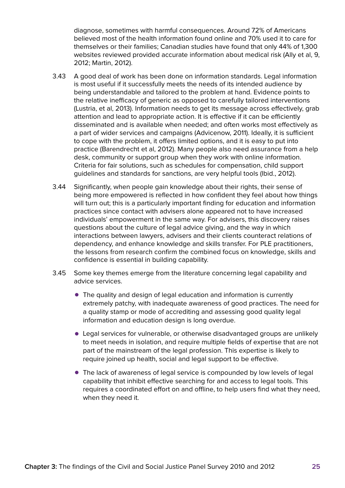diagnose, sometimes with harmful consequences. Around 72% of Americans believed most of the health information found online and 70% used it to care for themselves or their families; Canadian studies have found that only 44% of 1,300 websites reviewed provided accurate information about medical risk (Ally et al, 9, 2012; Martin, 2012).

- 3.43 A good deal of work has been done on information standards. Legal information is most useful if it successfully meets the needs of its intended audience by being understandable and tailored to the problem at hand. Evidence points to the relative inefficacy of generic as opposed to carefully tailored interventions (Lustria, et al, 2013). Information needs to get its message across effectively, grab attention and lead to appropriate action. It is effective if it can be efficiently disseminated and is available when needed; and often works most effectively as a part of wider services and campaigns (Advicenow, 2011). Ideally, it is sufficient to cope with the problem, it offers limited options, and it is easy to put into practice (Barendrecht et al, 2012). Many people also need assurance from a help desk, community or support group when they work with online information. Criteria for fair solutions, such as schedules for compensation, child support guidelines and standards for sanctions, are very helpful tools (Ibid., 2012).
- 3.44 Significantly, when people gain knowledge about their rights, their sense of being more empowered is reflected in how confident they feel about how things will turn out; this is a particularly important finding for education and information practices since contact with advisers alone appeared not to have increased individuals' empowerment in the same way. For advisers, this discovery raises questions about the culture of legal advice giving, and the way in which interactions between lawyers, advisers and their clients counteract relations of dependency, and enhance knowledge and skills transfer. For PLE practitioners, the lessons from research confirm the combined focus on knowledge, skills and confidence is essential in building capability.
- 3.45 Some key themes emerge from the literature concerning legal capability and advice services.
	- The quality and design of legal education and information is currently extremely patchy, with inadequate awareness of good practices. The need for a quality stamp or mode of accrediting and assessing good quality legal information and education design is long overdue.
	- Legal services for vulnerable, or otherwise disadvantaged groups are unlikely to meet needs in isolation, and require multiple fields of expertise that are not part of the mainstream of the legal profession. This expertise is likely to require joined up health, social and legal support to be effective.
	- The lack of awareness of legal service is compounded by low levels of legal capability that inhibit effective searching for and access to legal tools. This requires a coordinated effort on and offline, to help users find what they need, when they need it.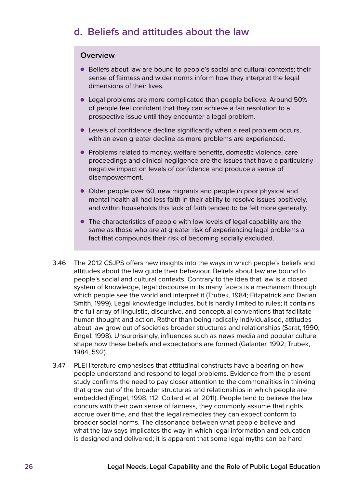### <span id="page-27-0"></span>**d. Beliefs and attitudes about the law**

#### **Overview**

- Beliefs about law are bound to people's social and cultural contexts; their sense of fairness and wider norms inform how they interpret the legal dimensions of their lives.
- Legal problems are more complicated than people believe. Around 50% of people feel confident that they can achieve a fair resolution to a prospective issue until they encounter a legal problem.
- Levels of confidence decline significantly when a real problem occurs, with an even greater decline as more problems are experienced.
- Problems related to money, welfare benefits, domestic violence, care proceedings and clinical negligence are the issues that have a particularly negative impact on levels of confidence and produce a sense of disempowerment.
- Older people over 60, new migrants and people in poor physical and mental health all had less faith in their ability to resolve issues positively, and within households this lack of faith tended to be felt more generally.
- The characteristics of people with low levels of legal capability are the same as those who are at greater risk of experiencing legal problems a fact that compounds their risk of becoming socially excluded.
- 3.46 The 2012 CSJPS offers new insights into the ways in which people's beliefs and attitudes about the law guide their behaviour. Beliefs about law are bound to people's social and cultural contexts. Contrary to the idea that law is a closed system of knowledge, legal discourse in its many facets is a mechanism through which people see the world and interpret it (Trubek, 1984; Fitzpatrick and Darian Smith, 1999). Legal knowledge includes, but is hardly limited to rules; it contains the full array of linguistic, discursive, and conceptual conventions that facilitate human thought and action. Rather than being radically individualised, attitudes about law grow out of societies broader structures and relationships (Sarat, 1990; Engel, 1998). Unsurprisingly, influences such as news media and popular culture shape how these beliefs and expectations are formed (Galanter, 1992; Trubek, 1984, 592).
- 3.47 PLEI literature emphasises that attitudinal constructs have a bearing on how people understand and respond to legal problems. Evidence from the present study confirms the need to pay closer attention to the commonalities in thinking that grow out of the broader structures and relationships in which people are embedded (Engel, 1998, 112; Collard et al, 2011). People tend to believe the law concurs with their own sense of fairness, they commonly assume that rights accrue over time, and that the legal remedies they can expect conform to broader social norms. The dissonance between what people believe and what the law says implicates the way in which legal information and education is designed and delivered; it is apparent that some legal myths can be hard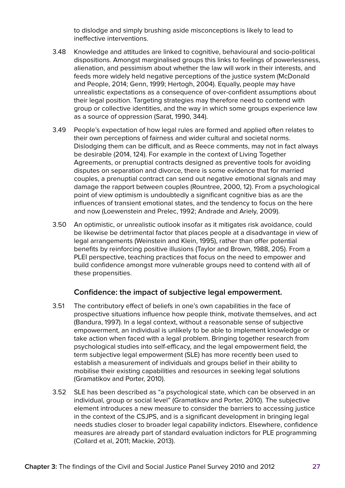to dislodge and simply brushing aside misconceptions is likely to lead to ineffective interventions.

- 3.48 Knowledge and attitudes are linked to cognitive, behavioural and socio-political dispositions. Amongst marginalised groups this links to feelings of powerlessness, alienation, and pessimism about whether the law will work in their interests, and feeds more widely held negative perceptions of the justice system (McDonald and People, 2014; Genn, 1999; Hertogh, 2004). Equally, people may have unrealistic expectations as a consequence of over-confident assumptions about their legal position. Targeting strategies may therefore need to contend with group or collective identities, and the way in which some groups experience law as a source of oppression (Sarat, 1990, 344).
- 3.49 People's expectation of how legal rules are formed and applied often relates to their own perceptions of fairness and wider cultural and societal norms. Dislodging them can be difficult, and as Reece comments, may not in fact always be desirable (2014, 124). For example in the context of Living Together Agreements, or prenuptial contracts designed as preventive tools for avoiding disputes on separation and divorce, there is some evidence that for married couples, a prenuptial contract can send out negative emotional signals and may damage the rapport between couples (Rountree, 2000, 12). From a psychological point of view optimism is undoubtedly a significant cognitive bias as are the influences of transient emotional states, and the tendency to focus on the here and now (Loewenstein and Prelec, 1992; Andrade and Ariely, 2009).
- 3.50 An optimistic, or unrealistic outlook insofar as it mitigates risk avoidance, could be likewise be detrimental factor that places people at a disadvantage in view of legal arrangements (Weinstein and Klein, 1995), rather than offer potential benefits by reinforcing positive illusions (Taylor and Brown, 1988, 205). From a PLEI perspective, teaching practices that focus on the need to empower and build confidence amongst more vulnerable groups need to contend with all of these propensities.

#### **Confidence: the impact of subjective legal empowerment.**

- 3.51 The contributory effect of beliefs in one's own capabilities in the face of prospective situations influence how people think, motivate themselves, and act (Bandura, 1997). In a legal context, without a reasonable sense of subjective empowerment, an individual is unlikely to be able to implement knowledge or take action when faced with a legal problem. Bringing together research from psychological studies into self-efficacy, and the legal empowerment field, the term subjective legal empowerment (SLE) has more recently been used to establish a measurement of individuals and groups belief in their ability to mobilise their existing capabilities and resources in seeking legal solutions (Gramatikov and Porter, 2010).
- 3.52 SLE has been described as "a psychological state, which can be observed in an individual, group or social level" (Gramatikov and Porter, 2010). The subjective element introduces a new measure to consider the barriers to accessing justice in the context of the CSJPS, and is a significant development in bringing legal needs studies closer to broader legal capability indictors. Elsewhere, confidence measures are already part of standard evaluation indictors for PLE programming (Collard et al, 2011; Mackie, 2013).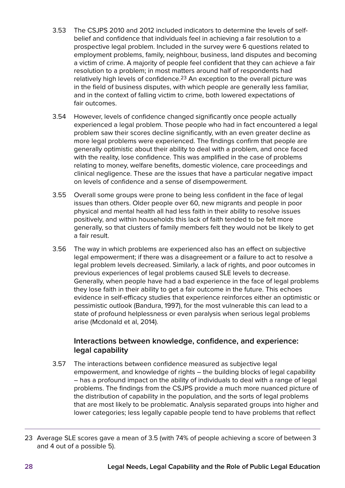- 3.53 The CSJPS 2010 and 2012 included indicators to determine the levels of selfbelief and confidence that individuals feel in achieving a fair resolution to a prospective legal problem. Included in the survey were 6 questions related to employment problems, family, neighbour, business, land disputes and becoming a victim of crime. A majority of people feel confident that they can achieve a fair resolution to a problem; in most matters around half of respondents had relatively high levels of confidence.<sup>23</sup> An exception to the overall picture was in the field of business disputes, with which people are generally less familiar, and in the context of falling victim to crime, both lowered expectations of fair outcomes.
- 3.54 However, levels of confidence changed significantly once people actually experienced a legal problem. Those people who had in fact encountered a legal problem saw their scores decline significantly, with an even greater decline as more legal problems were experienced. The findings confirm that people are generally optimistic about their ability to deal with a problem, and once faced with the reality, lose confidence. This was amplified in the case of problems relating to money, welfare benefits, domestic violence, care proceedings and clinical negligence. These are the issues that have a particular negative impact on levels of confidence and a sense of disempowerment.
- 3.55 Overall some groups were prone to being less confident in the face of legal issues than others. Older people over 60, new migrants and people in poor physical and mental health all had less faith in their ability to resolve issues positively, and within households this lack of faith tended to be felt more generally, so that clusters of family members felt they would not be likely to get a fair result.
- 3.56 The way in which problems are experienced also has an effect on subjective legal empowerment; if there was a disagreement or a failure to act to resolve a legal problem levels decreased. Similarly, a lack of rights, and poor outcomes in previous experiences of legal problems caused SLE levels to decrease. Generally, when people have had a bad experience in the face of legal problems they lose faith in their ability to get a fair outcome in the future. This echoes evidence in self-efficacy studies that experience reinforces either an optimistic or pessimistic outlook (Bandura, 1997), for the most vulnerable this can lead to a state of profound helplessness or even paralysis when serious legal problems arise (Mcdonald et al, 2014).

#### **Interactions between knowledge, confidence, and experience: legal capability**

3.57 The interactions between confidence measured as subjective legal empowerment, and knowledge of rights – the building blocks of legal capability – has a profound impact on the ability of individuals to deal with a range of legal problems. The findings from the CSJPS provide a much more nuanced picture of the distribution of capability in the population, and the sorts of legal problems that are most likely to be problematic. Analysis separated groups into higher and lower categories; less legally capable people tend to have problems that reflect

<sup>23</sup> Average SLE scores gave a mean of 3.5 (with 74% of people achieving a score of between 3 and 4 out of a possible 5).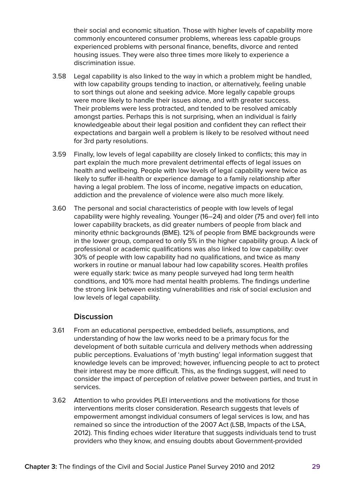their social and economic situation. Those with higher levels of capability more commonly encountered consumer problems, whereas less capable groups experienced problems with personal finance, benefits, divorce and rented housing issues. They were also three times more likely to experience a discrimination issue.

- 3.58 Legal capability is also linked to the way in which a problem might be handled, with low capability groups tending to inaction, or alternatively, feeling unable to sort things out alone and seeking advice. More legally capable groups were more likely to handle their issues alone, and with greater success. Their problems were less protracted, and tended to be resolved amicably amongst parties. Perhaps this is not surprising, when an individual is fairly knowledgeable about their legal position and confident they can reflect their expectations and bargain well a problem is likely to be resolved without need for 3rd party resolutions.
- 3.59 Finally, low levels of legal capability are closely linked to conflicts; this may in part explain the much more prevalent detrimental effects of legal issues on health and wellbeing. People with low levels of legal capability were twice as likely to suffer ill-health or experience damage to a family relationship after having a legal problem. The loss of income, negative impacts on education, addiction and the prevalence of violence were also much more likely.
- 3.60 The personal and social characteristics of people with low levels of legal capability were highly revealing. Younger (16–24) and older (75 and over) fell into lower capability brackets, as did greater numbers of people from black and minority ethnic backgrounds (BME). 12% of people from BME backgrounds were in the lower group, compared to only 5% in the higher capability group. A lack of professional or academic qualifications was also linked to low capability: over 30% of people with low capability had no qualifications, and twice as many workers in routine or manual labour had low capability scores. Health profiles were equally stark: twice as many people surveyed had long term health conditions, and 10% more had mental health problems. The findings underline the strong link between existing vulnerabilities and risk of social exclusion and low levels of legal capability.

#### **Discussion**

- 3.61 From an educational perspective, embedded beliefs, assumptions, and understanding of how the law works need to be a primary focus for the development of both suitable curricula and delivery methods when addressing public perceptions. Evaluations of 'myth busting' legal information suggest that knowledge levels can be improved; however, influencing people to act to protect their interest may be more difficult. This, as the findings suggest, will need to consider the impact of perception of relative power between parties, and trust in services.
- 3.62 Attention to who provides PLEI interventions and the motivations for those interventions merits closer consideration. Research suggests that levels of empowerment amongst individual consumers of legal services is low, and has remained so since the introduction of the 2007 Act (LSB, Impacts of the LSA, 2012). This finding echoes wider literature that suggests individuals tend to trust providers who they know, and ensuing doubts about Government-provided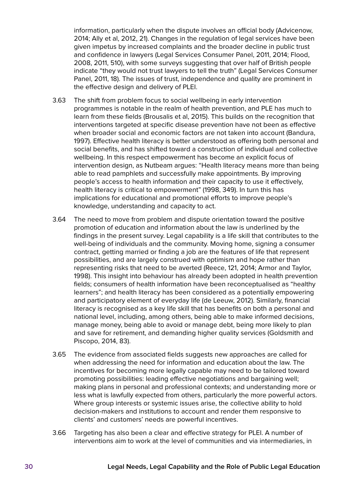information, particularly when the dispute involves an official body (Advicenow, 2014; Ally et al, 2012, 21). Changes in the regulation of legal services have been given impetus by increased complaints and the broader decline in public trust and confidence in lawyers (Legal Services Consumer Panel, 2011, 2014; Flood, 2008, 2011, 510), with some surveys suggesting that over half of British people indicate "they would not trust lawyers to tell the truth" (Legal Services Consumer Panel, 2011, 18). The issues of trust, independence and quality are prominent in the effective design and delivery of PLEI.

- 3.63 The shift from problem focus to social wellbeing in early intervention programmes is notable in the realm of health prevention, and PLE has much to learn from these fields (Brousalis et al, 2015). This builds on the recognition that interventions targeted at specific disease prevention have not been as effective when broader social and economic factors are not taken into account (Bandura, 1997). Effective health literacy is better understood as offering both personal and social benefits, and has shifted toward a construction of individual and collective wellbeing. In this respect empowerment has become an explicit focus of intervention design, as Nutbeam argues: "Health literacy means more than being able to read pamphlets and successfully make appointments. By improving people's access to health information and their capacity to use it effectively, health literacy is critical to empowerment" (1998, 349). In turn this has implications for educational and promotional efforts to improve people's knowledge, understanding and capacity to act.
- 3.64 The need to move from problem and dispute orientation toward the positive promotion of education and information about the law is underlined by the findings in the present survey. Legal capability is a life skill that contributes to the well-being of individuals and the community. Moving home, signing a consumer contract, getting married or finding a job are the features of life that represent possibilities, and are largely construed with optimism and hope rather than representing risks that need to be averted (Reece, 121, 2014; Armor and Taylor, 1998). This insight into behaviour has already been adopted in health prevention fields; consumers of health information have been reconceptualised as "healthy learners"; and health literacy has been considered as a potentially empowering and participatory element of everyday life (de Leeuw, 2012). Similarly, financial literacy is recognised as a key life skill that has benefits on both a personal and national level, including, among others, being able to make informed decisions, manage money, being able to avoid or manage debt, being more likely to plan and save for retirement, and demanding higher quality services (Goldsmith and Piscopo, 2014, 83).
- 3.65 The evidence from associated fields suggests new approaches are called for when addressing the need for information and education about the law. The incentives for becoming more legally capable may need to be tailored toward promoting possibilities: leading effective negotiations and bargaining well; making plans in personal and professional contexts; and understanding more or less what is lawfully expected from others, particularly the more powerful actors. Where group interests or systemic issues arise, the collective ability to hold decision-makers and institutions to account and render them responsive to clients' and customers' needs are powerful incentives.
- 3.66 Targeting has also been a clear and effective strategy for PLEI. A number of interventions aim to work at the level of communities and via intermediaries, in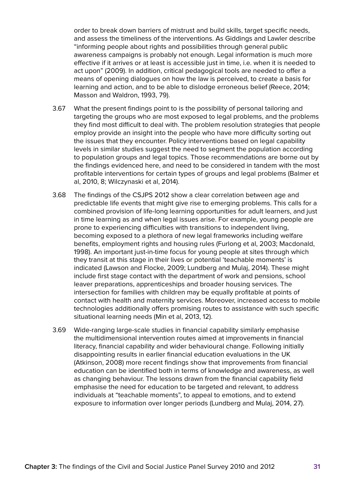order to break down barriers of mistrust and build skills, target specific needs, and assess the timeliness of the interventions. As Giddings and Lawler describe "informing people about rights and possibilities through general public awareness campaigns is probably not enough. Legal information is much more effective if it arrives or at least is accessible just in time, i.e. when it is needed to act upon" (2009). In addition, critical pedagogical tools are needed to offer a means of opening dialogues on how the law is perceived, to create a basis for learning and action, and to be able to dislodge erroneous belief (Reece, 2014; Masson and Waldron, 1993, 79).

- 3.67 What the present findings point to is the possibility of personal tailoring and targeting the groups who are most exposed to legal problems, and the problems they find most difficult to deal with. The problem resolution strategies that people employ provide an insight into the people who have more difficulty sorting out the issues that they encounter. Policy interventions based on legal capability levels in similar studies suggest the need to segment the population according to population groups and legal topics. Those recommendations are borne out by the findings evidenced here, and need to be considered in tandem with the most profitable interventions for certain types of groups and legal problems (Balmer et al, 2010, 8; Wilczynaski et al, 2014).
- 3.68 The findings of the CSJPS 2012 show a clear correlation between age and predictable life events that might give rise to emerging problems. This calls for a combined provision of life-long learning opportunities for adult learners, and just in time learning as and when legal issues arise. For example, young people are prone to experiencing difficulties with transitions to independent living, becoming exposed to a plethora of new legal frameworks including welfare benefits, employment rights and housing rules (Furlong et al, 2003; Macdonald, 1998). An important just-in-time focus for young people at sites through which they transit at this stage in their lives or potential 'teachable moments' is indicated (Lawson and Flocke, 2009; Lundberg and Mulaj, 2014). These might include first stage contact with the department of work and pensions, school leaver preparations, apprenticeships and broader housing services. The intersection for families with children may be equally profitable at points of contact with health and maternity services. Moreover, increased access to mobile technologies additionally offers promising routes to assistance with such specific situational learning needs (Min et al, 2013, 12).
- 3.69 Wide-ranging large-scale studies in financial capability similarly emphasise the multidimensional intervention routes aimed at improvements in financial literacy, financial capability and wider behavioural change. Following initially disappointing results in earlier financial education evaluations in the UK (Atkinson, 2008) more recent findings show that improvements from financial education can be identified both in terms of knowledge and awareness, as well as changing behaviour. The lessons drawn from the financial capability field emphasise the need for education to be targeted and relevant, to address individuals at "teachable moments", to appeal to emotions, and to extend exposure to information over longer periods (Lundberg and Mulaj, 2014, 27).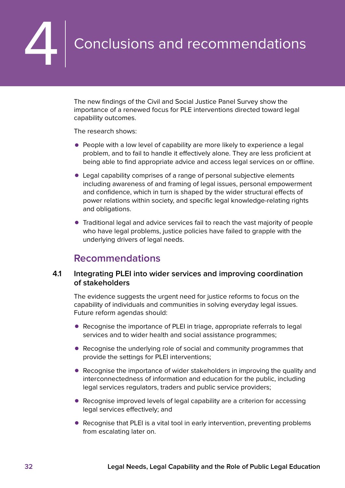# <span id="page-33-0"></span>**4 Conclusions and recommendations**

The new findings of the Civil and Social Justice Panel Survey show the importance of a renewed focus for PLE interventions directed toward legal capability outcomes.

The research shows:

- People with a low level of capability are more likely to experience a legal problem, and to fail to handle it effectively alone. They are less proficient at being able to find appropriate advice and access legal services on or offline.
- Legal capability comprises of a range of personal subjective elements including awareness of and framing of legal issues, personal empowerment and confidence, which in turn is shaped by the wider structural effects of power relations within society, and specific legal knowledge-relating rights and obligations.
- Traditional legal and advice services fail to reach the vast majority of people who have legal problems, justice policies have failed to grapple with the underlying drivers of legal needs.

### **Recommendations**

#### **4.1 Integrating PLEI into wider services and improving coordination of stakeholders**

The evidence suggests the urgent need for justice reforms to focus on the capability of individuals and communities in solving everyday legal issues. Future reform agendas should:

- Recognise the importance of PLEI in triage, appropriate referrals to legal services and to wider health and social assistance programmes;
- Recognise the underlying role of social and community programmes that provide the settings for PLEI interventions;
- Recognise the importance of wider stakeholders in improving the quality and interconnectedness of information and education for the public, including legal services regulators, traders and public service providers;
- Recognise improved levels of legal capability are a criterion for accessing legal services effectively; and
- Recognise that PLEI is a vital tool in early intervention, preventing problems from escalating later on.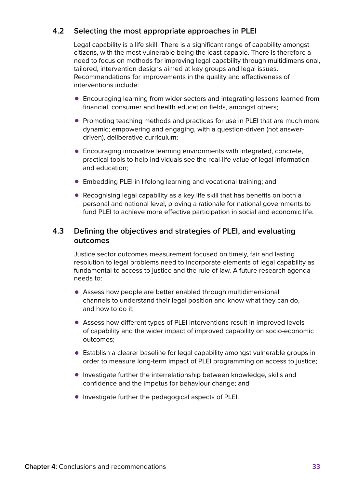#### **4.2 Selecting the most appropriate approaches in PLEI**

Legal capability is a life skill. There is a significant range of capability amongst citizens, with the most vulnerable being the least capable. There is therefore a need to focus on methods for improving legal capability through multidimensional, tailored, intervention designs aimed at key groups and legal issues. Recommendations for improvements in the quality and effectiveness of interventions include:

- Encouraging learning from wider sectors and integrating lessons learned from financial, consumer and health education fields, amongst others;
- Promoting teaching methods and practices for use in PLEI that are much more dynamic; empowering and engaging, with a question-driven (not answerdriven), deliberative curriculum;
- $\bullet$  Encouraging innovative learning environments with integrated, concrete, practical tools to help individuals see the real-life value of legal information and education;
- Embedding PLEI in lifelong learning and vocational training; and
- Recognising legal capability as a key life skill that has benefits on both a personal and national level, proving a rationale for national governments to fund PLEI to achieve more effective participation in social and economic life.

#### **4.3 Defining the objectives and strategies of PLEI, and evaluating outcomes**

Justice sector outcomes measurement focused on timely, fair and lasting resolution to legal problems need to incorporate elements of legal capability as fundamental to access to justice and the rule of law. A future research agenda needs to:

- Assess how people are better enabled through multidimensional channels to understand their legal position and know what they can do, and how to do it;
- Assess how different types of PLEI interventions result in improved levels of capability and the wider impact of improved capability on socio-economic outcomes;
- Establish a clearer baseline for legal capability amongst vulnerable groups in order to measure long-term impact of PLEI programming on access to justice;
- Investigate further the interrelationship between knowledge, skills and confidence and the impetus for behaviour change; and
- Investigate further the pedagogical aspects of PLEI.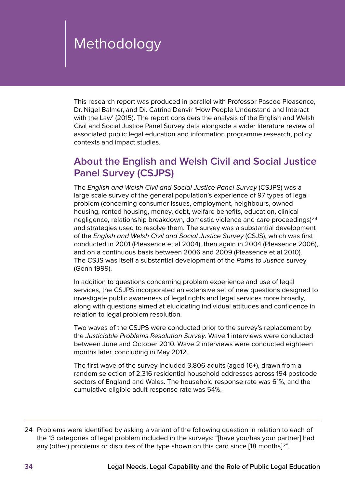# <span id="page-35-0"></span>Methodology

This research report was produced in parallel with Professor Pascoe Pleasence, Dr. Nigel Balmer, and Dr. Catrina Denvir 'How People Understand and Interact with the Law' (2015). The report considers the analysis of the English and Welsh Civil and Social Justice Panel Survey data alongside a wider literature review of associated public legal education and information programme research, policy contexts and impact studies.

# **About the English and Welsh Civil and Social Justice Panel Survey (CSJPS)**

The English and Welsh Civil and Social Justice Panel Survey (CSJPS) was a large scale survey of the general population's experience of 97 types of legal problem (concerning consumer issues, employment, neighbours, owned housing, rented housing, money, debt, welfare benefits, education, clinical negligence, relationship breakdown, domestic violence and care proceedings)24 and strategies used to resolve them. The survey was a substantial development of the English and Welsh Civil and Social Justice Survey (CSJS), which was first conducted in 2001 (Pleasence et al 2004), then again in 2004 (Pleasence 2006), and on a continuous basis between 2006 and 2009 (Pleasence et al 2010). The CSJS was itself a substantial development of the Paths to Justice survey (Genn 1999).

In addition to questions concerning problem experience and use of legal services, the CSJPS incorporated an extensive set of new questions designed to investigate public awareness of legal rights and legal services more broadly, along with questions aimed at elucidating individual attitudes and confidence in relation to legal problem resolution.

Two waves of the CSJPS were conducted prior to the survey's replacement by the Justiciable Problems Resolution Survey. Wave 1 interviews were conducted between June and October 2010. Wave 2 interviews were conducted eighteen months later, concluding in May 2012.

The first wave of the survey included 3,806 adults (aged 16+), drawn from a random selection of 2,316 residential household addresses across 194 postcode sectors of England and Wales. The household response rate was 61%, and the cumulative eligible adult response rate was 54%.

<sup>24</sup> Problems were identified by asking a variant of the following question in relation to each of the 13 categories of legal problem included in the surveys: "[have you/has your partner] had any (other) problems or disputes of the type shown on this card since [18 months]?".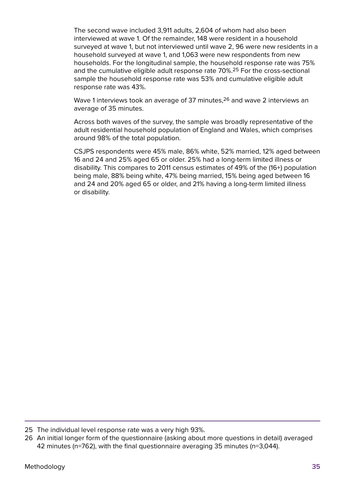The second wave included 3,911 adults, 2,604 of whom had also been interviewed at wave 1. Of the remainder, 148 were resident in a household surveyed at wave 1, but not interviewed until wave 2, 96 were new residents in a household surveyed at wave 1, and 1,063 were new respondents from new households. For the longitudinal sample, the household response rate was 75% and the cumulative eligible adult response rate 70%.25 For the cross-sectional sample the household response rate was 53% and cumulative eligible adult response rate was 43%.

Wave 1 interviews took an average of 37 minutes.<sup>26</sup> and wave 2 interviews an average of 35 minutes.

Across both waves of the survey, the sample was broadly representative of the adult residential household population of England and Wales, which comprises around 98% of the total population.

CSJPS respondents were 45% male, 86% white, 52% married, 12% aged between 16 and 24 and 25% aged 65 or older. 25% had a long-term limited illness or disability. This compares to 2011 census estimates of 49% of the (16+) population being male, 88% being white, 47% being married, 15% being aged between 16 and 24 and 20% aged 65 or older, and 21% having a long-term limited illness or disability.

<sup>25</sup> The individual level response rate was a very high 93%.

<sup>26</sup> An initial longer form of the questionnaire (asking about more questions in detail) averaged 42 minutes (n=762), with the final questionnaire averaging 35 minutes (n=3,044).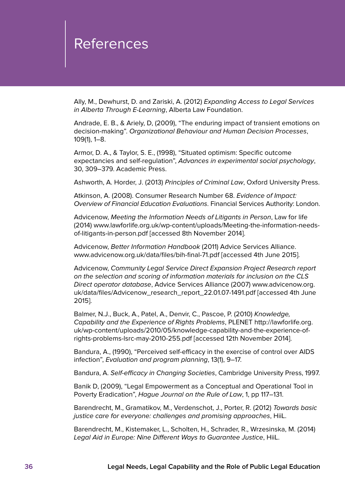# <span id="page-37-0"></span>References

Ally, M., Dewhurst, D. and Zariski, A. (2012) Expanding Access to Legal Services in Alberta Through E-Learning, Alberta Law Foundation.

Andrade, E. B., & Ariely, D, (2009), "The enduring impact of transient emotions on decision-making". Organizational Behaviour and Human Decision Processes, 109(1), 1–8.

Armor, D. A., & Taylor, S. E., (1998), "Situated optimism: Specific outcome expectancies and self-regulation", Advances in experimental social psychology, 30, 309–379. Academic Press.

[Ashworth](https://www.google.co.uk/search?tbo=p&tbm=bks&q=inauthor:%2522Andrew+Ashworth%2522), A. Horder, J. (2013) Principles of Criminal Law, Oxford University Press.

Atkinson, A. (2008). Consumer Research Number 68. Evidence of Impact: Overview of Financial Education Evaluations. Financial Services Authority: London.

Advicenow, Meeting the Information Needs of Litigants in Person, Law for life (2014) [www.lawforlife.org.uk/wp-content/uploads/Meeting-the-information-needs](http://www.lawforlife.org.uk/wp-content/uploads/Meeting-the-information-needs-of-litigants-in-person.pdf)[of-litigants-in-person.pdf](http://www.lawforlife.org.uk/wp-content/uploads/Meeting-the-information-needs-of-litigants-in-person.pdf) [accessed 8th November 2014].

Advicenow, Better Information Handbook (2011) Advice Services Alliance. [www.advicenow.org.uk/data/files/bih-final-71.pdf](http://www.advicenow.org.uk/data/files/bih-final-71.pdf) [accessed 4th June 2015].

Advicenow, Community Legal Service Direct Expansion Project Research report on the selection and scoring of information materials for inclusion on the CLS Direct operator database, Advice Services Alliance (2007) [www.advicenow.org.](http://www.advicenow.org.uk/data/files/Advicenow_research_report_22.01.07-1491.pdf) [uk/data/files/Advicenow\\_research\\_report\\_22.01.07-1491.pdf](http://www.advicenow.org.uk/data/files/Advicenow_research_report_22.01.07-1491.pdf) [accessed 4th June 2015].

Balmer, N.J., Buck, A., Patel, A., Denvir, C., Pascoe, P. (2010) Knowledge, Capability and the Experience of Rights Problems, PLENET [http://lawforlife.org.](http://lawforlife.org.uk/wp-content/uploads/2010/05/knowledge-capability-and-the-experience-of-rights-problems-lsrc-may-2010-255.pdf) [uk/wp-content/uploads/2010/05/knowledge-capability-and-the-experience-of](http://lawforlife.org.uk/wp-content/uploads/2010/05/knowledge-capability-and-the-experience-of-rights-problems-lsrc-may-2010-255.pdf)[rights-problems-lsrc-may-2010-255.pdf](http://lawforlife.org.uk/wp-content/uploads/2010/05/knowledge-capability-and-the-experience-of-rights-problems-lsrc-may-2010-255.pdf) [accessed 12th November 2014].

Bandura, A., (1990), "Perceived self-efficacy in the exercise of control over AIDS infection", Evaluation and program planning, 13(1), 9–17.

Bandura, A. Self-efficacy in Changing Societies, Cambridge University Press, 1997.

Banik D, (2009), "Legal Empowerment as a Conceptual and Operational Tool in Poverty Eradication", Hague Journal on the Rule of Law, 1, pp 117–131.

Barendrecht, M., Gramatikov, M., Verdenschot, J., Porter, R. (2012) Towards basic justice care for everyone: challenges and promising approaches, HiiL.

Barendrecht, M., Kistemaker, L., Scholten, H., Schrader, R., Wrzesinska, M. (2014) Legal Aid in Europe: Nine Different Ways to Guarantee Justice, HiiL.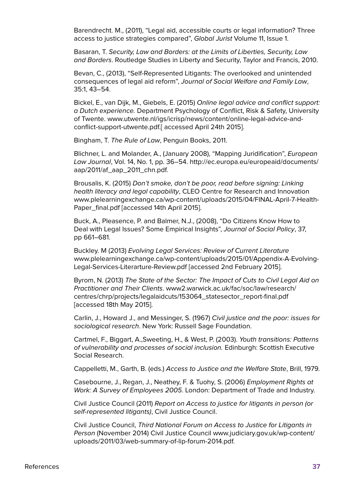Barendrecht. M., (2011), "Legal aid, accessible courts or legal information? Three access to justice strategies compared", Global Jurist Volume 11, Issue 1.

Basaran, T. Security, Law and Borders: at the Limits of Liberties, Security, Law and Borders. Routledge Studies in Liberty and Security, Taylor and Francis, 2010.

Bevan, C., (2013), "Self-Represented Litigants: The overlooked and unintended consequences of legal aid reform", Journal of Social Welfare and Family Law, 35:1, 43–54.

Bickel, E., van Dijk, M., Giebels, E. (2015) Online legal advice and conflict support: a Dutch experience. Department Psychology of Conflict, Risk & Safety, University of Twente. [www.utwente.nl/igs/icrisp/news/content/online-legal-advice-and](http://www.utwente.nl/igs/icrisp/news/content/online-legal-advice-and-conflict-support-utwente.pdf)[conflict-support-utwente.pdf.](http://www.utwente.nl/igs/icrisp/news/content/online-legal-advice-and-conflict-support-utwente.pdf)[ accessed April 24th 2015].

Bingham, T. The Rule of Law, Penguin Books, 2011.

Blichner, L. and Molander, A., (January 2008), "Mapping Juridification", European Law Journal, Vol. 14, No. 1, pp. 36–54. [http://ec.europa.eu/europeaid/documents/](http://ec.europa.eu/europeaid/documents/aap/2011/af_aap_2011_chn.pdf) [aap/2011/af\\_aap\\_2011\\_chn.pdf](http://ec.europa.eu/europeaid/documents/aap/2011/af_aap_2011_chn.pdf).

Brousalis, K. (2015) Don't smoke, don't be poor, read before signing: Linking health literacy and legal capability, CLEO Centre for Research and Innovation [www.plelearningexchange.ca/wp-content/uploads/2015/04/FINAL-April-7-Health-](http://www.plelearningexchange.ca/wp-content/uploads/2015/04/FINAL-April-7-Health-Paper_final.pdf)[Paper\\_final.pdf](http://www.plelearningexchange.ca/wp-content/uploads/2015/04/FINAL-April-7-Health-Paper_final.pdf) [accessed 14th April 2015].

Buck, A., Pleasence, P. and Balmer, N.J., (2008), "Do Citizens Know How to Deal with Legal Issues? Some Empirical Insights", Journal of Social Policy, 37, pp 661–681.

Buckley. M (2013) Evolving Legal Services: Review of Current Literature [www.plelearningexchange.ca/wp-content/uploads/2015/01/Appendix-A-Evolving-](http://www.plelearningexchange.ca/wp-content/uploads/2015/01/Appendix-A-Evolving-Legal-Services-Literarture-Review.pdf)[Legal-Services-Literarture-Review.pdf](http://www.plelearningexchange.ca/wp-content/uploads/2015/01/Appendix-A-Evolving-Legal-Services-Literarture-Review.pdf) [accessed 2nd February 2015].

Byrom, N. (2013) The State of the Sector: The Impact of Cuts to Civil Legal Aid on Practitioner and Their Clients. [www2.warwick.ac.uk/fac/soc/law/research/](http://www2.warwick.ac.uk/fac/soc/law/research/centres/chrp/projects/legalaidcuts/153064_statesector_report-final.pdf) [centres/chrp/projects/legalaidcuts/153064\\_statesector\\_report-final.pdf](http://www2.warwick.ac.uk/fac/soc/law/research/centres/chrp/projects/legalaidcuts/153064_statesector_report-final.pdf)  [accessed 18th May 2015].

Carlin, J., Howard J., and Messinger, S. (1967) Civil justice and the poor: issues for sociological research. New York: Russell Sage Foundation.

Cartmel, F., Biggart, A.,Sweeting, H., & West, P. (2003). Youth transitions: Patterns of vulnerability and processes of social inclusion. Edinburgh: Scottish Executive Social Research.

Cappelletti, M., Garth, B. (eds.) Access to Justice and the Welfare State, Brill, 1979.

Casebourne, J., Regan, J., Neathey, F. & Tuohy, S. (2006) Employment Rights at Work: A Survey of Employees 2005. London: Department of Trade and Industry.

Civil Justice Council (2011) Report on Access to justice for litigants in person (or self-represented litigants), Civil Justice Council.

Civil Justice Council, Third National Forum on Access to Justice for Litigants in Person (November 2014) Civil Justice Council [www.judiciary.gov.uk/wp-content/](https://www.judiciary.gov.uk/wp-content/uploads/2011/03/web-summary-of-lip-forum-2014.pdf) [uploads/2011/03/web-summary-of-lip-forum-2014.pdf.](https://www.judiciary.gov.uk/wp-content/uploads/2011/03/web-summary-of-lip-forum-2014.pdf)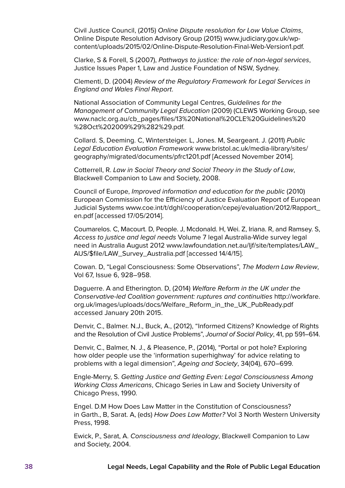Civil Justice Council, (2015) Online Dispute resolution for Low Value Claims, Online Dispute Resolution Advisory Group (2015) [www.judiciary.gov.uk/wp](https://www.judiciary.gov.uk/wp-content/uploads/2015/02/Online-Dispute-Resolution-Final-Web-Version1.pdf)[content/uploads/2015/02/Online-Dispute-Resolution-Final-Web-Version1.pdf.](https://www.judiciary.gov.uk/wp-content/uploads/2015/02/Online-Dispute-Resolution-Final-Web-Version1.pdf)

Clarke, S & Forell, S (2007), Pathways to justice: the role of non-legal services, Justice Issues Paper 1, Law and Justice Foundation of NSW, Sydney.

Clementi, D. (2004) Review of the Regulatory Framework for Legal Services in England and Wales Final Report.

National Association of Community Legal Centres, Guidelines for the Management of Community Legal Education (2009) (CLEWS Working Group, see [www.naclc.org.au/cb\\_pages/files/13%20National%20CLE%20Guidelines%20](www.naclc.org.au/cb_pages/files/13%20National%20CLE%20Guidelines%20%28Oct%202009%29%282%29.pdf) [%28Oct%202009%29%282%29.pdf.](www.naclc.org.au/cb_pages/files/13%20National%20CLE%20Guidelines%20%28Oct%202009%29%282%29.pdf)

Collard. S, Deeming. C, Wintersteiger. L, Jones. M, Seargeant. J. (2011) Public Legal Education Evaluation Framework [www.bristol.ac.uk/media-library/sites/](http://www.bristol.ac.uk/media-library/sites/geography/migrated/documents/pfrc1201.pdf) [geography/migrated/documents/pfrc1201.pdf](http://www.bristol.ac.uk/media-library/sites/geography/migrated/documents/pfrc1201.pdf) [Acessed November 2014].

Cotterrell, R. Law in Social Theory and Social Theory in the Study of Law, Blackwell Companion to Law and Society, 2008.

Council of Europe, Improved information and education for the public (2010) European Commission for the Efficiency of Justice Evaluation Report of European Judicial Systems [www.coe.int/t/dghl/cooperation/cepej/evaluation/2012/Rapport\\_](http://www.coe.int/t/dghl/cooperation/cepej/evaluation/2012/Rapport_en.pdf) [en.pdf](http://www.coe.int/t/dghl/cooperation/cepej/evaluation/2012/Rapport_en.pdf) [accessed 17/05/2014].

Coumarelos. C, Macourt. D, People. J, Mcdonald. H, Wei. Z, Iriana. R, and Ramsey. S, Access to justice and legal needs Volume 7 legal Australia-Wide survey legal need in Australia August 2012 [www.lawfoundation.net.au/ljf/site/templates/LAW\\_](www.lawfoundation.net.au/ljf/site/templates/LAW_AUS/$file/LAW_Survey_Australia.pdf) [AUS/\\$file/LAW\\_Survey\\_Australia.pdf \[accessed 14/4/15\]](www.lawfoundation.net.au/ljf/site/templates/LAW_AUS/$file/LAW_Survey_Australia.pdf).

Cowan. D, "Legal Consciousness: Some Observations", The Modern Law Review, Vol 67, Issue 6, 928–958.

Daguerre. A and Etherington. D, (2014) Welfare Reform in the UK under the Conservative-led Coalition government: ruptures and continuities [http://workfare.](http://workfare.org.uk/images/uploads/docs/Welfare_Reform_in_the_UK_PubReady.pdf) [org.uk/images/uploads/docs/Welfare\\_Reform\\_in\\_the\\_UK\\_PubReady.pdf](http://workfare.org.uk/images/uploads/docs/Welfare_Reform_in_the_UK_PubReady.pdf) accessed January 20th 2015.

Denvir, C., Balmer. N.J., Buck, A., (2012), "Informed Citizens? Knowledge of Rights and the Resolution of Civil Justice Problems", Journal of Social Policy, 41, pp 591–614.

Denvir, C., Balmer, N. J., & Pleasence, P., (2014), "Portal or pot hole? Exploring how older people use the 'information superhighway' for advice relating to problems with a legal dimension", Ageing and Society, 34(04), 670–699.

Engle-Merry, S. Getting Justice and Getting Even: Legal Consciousness Among Working Class Americans, Chicago Series in Law and Society University of Chicago Press, 1990.

Engel. D.M How Does Law Matter in the Constitution of Consciousness? in Garth., B, Sarat. A, (eds) How Does Law Matter? Vol 3 North Western University Press, 1998.

Ewick, P., Sarat, A. Consciousness and Ideology, Blackwell Companion to Law and Society, 2004.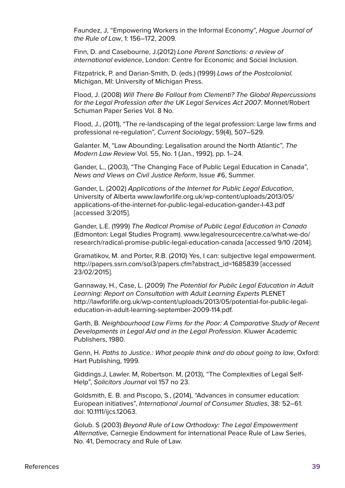Faundez, J, "Empowering Workers in the Informal Economy", Hague Journal of the Rule of Law, 1: 156–172, 2009.

Finn, D. and Casebourne, J.(2012) Lone Parent Sanctions: a review of international evidence, London: Centre for Economic and Social Inclusion.

Fitzpatrick, P. and Darian-Smith, D. (eds.) (1999) Laws of the Postcolonial. Michigan, MI: University of Michigan Press.

Flood, J. (2008) Will There Be Fallout from Clementi? The Global Repercussions for the Legal Profession after the UK Legal Services Act 2007. Monnet/Robert Schuman Paper Series Vol. 8 No.

Flood, J., (2011), "The re-landscaping of the legal profession: Large law firms and professional re-regulation", Current Sociology, 59(4), 507–529.

Galanter. M, "Law Abounding: Legalisation around the North Atlantic", The Modern Law Review Vol. 55, No. 1 (Jan., 1992), pp. 1–24.

Gander, L., (2003), "The Changing Face of Public Legal Education in Canada", News and Views on Civil Justice Reform, Issue #6, Summer.

Gander, L. (2002) Applications of the Internet for Public Legal Education, University of Alberta [www.lawforlife.org.uk/wp-content/uploads/2013/05/](http://www.lawforlife.org.uk/wp-content/uploads/2013/05/applications-of-the-internet-for-public-legal-education-gander-l-43.pdf) [applications-of-the-internet-for-public-legal-education-gander-l-43.pdf](http://www.lawforlife.org.uk/wp-content/uploads/2013/05/applications-of-the-internet-for-public-legal-education-gander-l-43.pdf) [accessed 3/2015].

Gander, L.E. (1999) The Radical Promise of Public Legal Education in Canada (Edmonton: Legal Studies Program). [www.legalresourcecentre.ca/what-we-do/](http://www.legalresourcecentre.ca/what-we-do/research/radical-promise-public-legal-education-canada) [research/radical-promise-public-legal-education-canada](http://www.legalresourcecentre.ca/what-we-do/research/radical-promise-public-legal-education-canada) [accessed 9/10 /2014].

Gramatikov, M. and Porter, R.B. (2010) Yes, I can: subjective legal empowerment. [http://papers.ssrn.com/sol3/papers.cfm?abstract\\_id=1685839](http://papers.ssrn.com/sol3/papers.cfm?abstract_id=1685839) [accessed 23/02/2015].

Gannaway, H., Case, L. (2009) The Potential for Public Legal Education in Adult Learning: Report on Consultation with Adult Learning Experts PLENET [http://lawforlife.org.uk/wp-content/uploads/2013/05/potential-for-public-legal](http://lawforlife.org.uk/wp-content/uploads/2013/05/potential-for-public-legal-education-in-adult-learning-september-2009-114.pdf)[education-in-adult-learning-september-2009-114.pdf](http://lawforlife.org.uk/wp-content/uploads/2013/05/potential-for-public-legal-education-in-adult-learning-september-2009-114.pdf).

Garth, B. Neighbourhood Law Firms for the Poor: A Comparative Study of Recent Developments in Legal Aid and in the Legal Profession. Kluwer Academic Publishers, 1980.

Genn, H. Paths to Justice.: What people think and do about going to law, Oxford: Hart Publishing, 1999.

Giddings.J, Lawler. M, Robertson. M, (2013), "The Complexities of Legal Self-Help", Solicitors Journal vol 157 no 23.

Goldsmith, E. B. and Piscopo, S., (2014), "Advances in consumer education: European initiatives", International Journal of Consumer Studies, 38: 52–61. doi: 10.1111/ijcs.12063.

Golub. S (2003) Beyond Rule of Law Orthodoxy: The Legal Empowerment Alternative, Carnegie Endowment for International Peace Rule of Law Series, No. 41, Democracy and Rule of Law.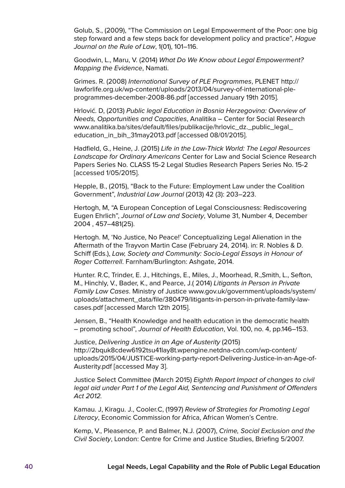Golub, S., (2009), "The Commission on Legal Empowerment of the Poor: one big step forward and a few steps back for development policy and practice", Hague Journal on the Rule of Law, 1(01), 101–116.

Goodwin, L., Maru, V. (2014) What Do We Know about Legal Empowerment? Mapping the Evidence, Namati.

Grimes. R. (2008) International Survey of PLE Programmes, PLENET [http://](http://lawforlife.org.uk/wp-content/uploads/2013/04/survey-of-international-ple-programmes-december-2008-86.pdf) [lawforlife.org.uk/wp-content/uploads/2013/04/survey-of-international-ple](http://lawforlife.org.uk/wp-content/uploads/2013/04/survey-of-international-ple-programmes-december-2008-86.pdf)[programmes-december-2008-86.pdf](http://lawforlife.org.uk/wp-content/uploads/2013/04/survey-of-international-ple-programmes-december-2008-86.pdf) [accessed January 19th 2015].

Hrlović. D, (2013) Public legal Education in Bosnia Herzegovina: Overview of Needs, Opportunities and Capacities, Analitika – Center for Social Research [www.analitika.ba/sites/default/files/publikacije/hrlovic\\_dz.\\_public\\_legal\\_](http://www.analitika.ba/sites/default/files/publikacije/hrlovic_dz._public_legal_education_in_bih_31may2013.pdf) [education\\_in\\_bih\\_31may2013.pdf](http://www.analitika.ba/sites/default/files/publikacije/hrlovic_dz._public_legal_education_in_bih_31may2013.pdf) [accessed 08/01/2015].

Hadfield, G., Heine, J. (2015) Life in the Law-Thick World: The Legal Resources Landscape for Ordinary Americans Center for Law and Social Science Research Papers Series No. CLASS 15-2 Legal Studies Research Papers Series No. 15-2 [accessed 1/05/2015].

Hepple, B., (2015), "Back to the Future: Employment Law under the Coalition Government", Industrial Law Journal (2013) 42 (3): 203–223.

Hertogh, M, "A European Conception of Legal Consciousness: Rediscovering Eugen Ehrlich", Journal of Law and Society, Volume 31, Number 4, December 2004 , 457–481(25).

Hertogh. M, 'No Justice, No Peace!' Conceptualizing Legal Alienation in the Aftermath of the Trayvon Martin Case (February 24, 2014). in: R. Nobles & D. Schiff (Eds.), Law, Society and Community: Socio-Legal Essays in Honour of Roger Cotterrell. Farnham/Burlington: Ashgate, 2014.

Hunter. R.C, Trinder, E. J., Hitchings, E., Miles, J., Moorhead, R.,Smith, L., Sefton, M., Hinchly, V., Bader, K., and Pearce, J.( 2014) Litigants in Person in Private Family Law Cases. Ministry of Justice [www.gov.uk/government/uploads/system/](https://www.gov.uk/government/uploads/system/uploads/attachment_data/file/380479/litigants-in-person-in-private-family-law-cases.pdf) [uploads/attachment\\_data/file/380479/litigants-in-person-in-private-family-law](https://www.gov.uk/government/uploads/system/uploads/attachment_data/file/380479/litigants-in-person-in-private-family-law-cases.pdf)[cases.pdf](https://www.gov.uk/government/uploads/system/uploads/attachment_data/file/380479/litigants-in-person-in-private-family-law-cases.pdf) [accessed March 12th 2015].

Jensen, B., "Health Knowledge and health education in the democratic health – promoting school", Journal of Health Education, Vol. 100, no. 4, pp.146–153.

Justice, Delivering Justice in an Age of Austerity (2015) [http://2bquk8cdew6192tsu41lay8t.wpengine.netdna-cdn.com/wp-content/](http://2bquk8cdew6192tsu41lay8t.wpengine.netdna-cdn.com/wp-content/uploads/2015/04/JUSTICE-working-party-report-Delivering-Justice-in-an-Age-of-Austerity.pdf) [uploads/2015/04/JUSTICE-working-party-report-Delivering-Justice-in-an-Age-of-](http://2bquk8cdew6192tsu41lay8t.wpengine.netdna-cdn.com/wp-content/uploads/2015/04/JUSTICE-working-party-report-Delivering-Justice-in-an-Age-of-Austerity.pdf)[Austerity.pdf](http://2bquk8cdew6192tsu41lay8t.wpengine.netdna-cdn.com/wp-content/uploads/2015/04/JUSTICE-working-party-report-Delivering-Justice-in-an-Age-of-Austerity.pdf) [accessed May 3].

Justice Select Committee (March 2015) Eighth Report Impact of changes to civil legal aid under Part 1 of the Legal Aid, Sentencing and Punishment of Offenders Act 2012.

Kamau. J, Kiragu. J., Cooler.C, (1997) Review of Strategies for Promoting Legal Literacy, Economic Commission for Africa, African Women's Centre.

Kemp, V., Pleasence, P. and Balmer, N.J. (2007), Crime, Social Exclusion and the Civil Society, London: Centre for Crime and Justice Studies, Briefing 5/2007.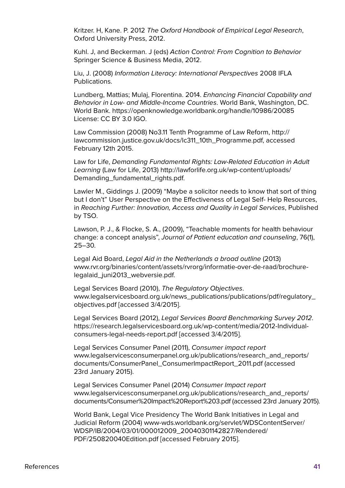Kritzer. H, Kane. P. 2012 The Oxford Handbook of Empirical Legal Research, Oxford University Press, 2012.

Kuhl. J, and Beckerman. J (eds) Action Control: From Cognition to Behavior Springer Science & Business Media, 2012.

Liu, J. (2008) Information Literacy: International Perspectives 2008 IFLA Publications.

Lundberg, Mattias; Mulaj, Florentina. 2014. Enhancing Financial Capability and Behavior in Low- and Middle-Income Countries. World Bank, Washington, DC. World Bank. <https://openknowledge.worldbank.org/handle/10986/20085> License: CC BY 3.0 IGO.

Law Commission (2008) No3.11 Tenth Programme of Law Reform, [http://](http://lawcommission.justice.gov.uk/docs/lc311_10th_Programme.pdf) [lawcommission.justice.gov.uk/docs/lc311\\_10th\\_Programme.pdf](http://lawcommission.justice.gov.uk/docs/lc311_10th_Programme.pdf), accessed February 12th 2015.

Law for Life, Demanding Fundamental Rights: Law-Related Education in Adult Learning (Law for Life, 2013) [http://lawforlife.org.uk/wp-content/uploads/](http://lawforlife.org.uk/wp-content/uploads/Demanding_fundamental_rights.pdf) [Demanding\\_fundamental\\_rights.pdf](http://lawforlife.org.uk/wp-content/uploads/Demanding_fundamental_rights.pdf).

Lawler M., Giddings J. (2009) "Maybe a solicitor needs to know that sort of thing but I don't" User Perspective on the Effectiveness of Legal Self- Help Resources, in Reaching Further: Innovation, Access and Quality in Legal Services, Published by TSO.

Lawson, P. J., & Flocke, S. A., (2009), "Teachable moments for health behaviour change: a concept analysis", Journal of Patient education and counseling, 76(1), 25–30.

Legal Aid Board, Legal Aid in the Netherlands a broad outline (2013) [www.rvr.org/binaries/content/assets/rvrorg/informatie-over-de-raad/brochure](http://www.rvr.org/binaries/content/assets/rvrorg/informatie-over-de-raad/brochure-legalaid_juni2013_webversie.pdf)[legalaid\\_juni2013\\_webversie.pdf.](http://www.rvr.org/binaries/content/assets/rvrorg/informatie-over-de-raad/brochure-legalaid_juni2013_webversie.pdf)

Legal Services Board (2010), The Regulatory Objectives. [www.legalservicesboard.org.uk/news\\_publications/publications/pdf/regulatory\\_](http://www.legalservicesboard.org.uk/news_publications/publications/pdf/regulatory_objectives.pdf) [objectives.pdf](http://www.legalservicesboard.org.uk/news_publications/publications/pdf/regulatory_objectives.pdf) [accessed 3/4/2015].

Legal Services Board (2012), Legal Services Board Benchmarking Survey 2012. [https://research.legalservicesboard.org.uk/wp-content/media/2012-Individual](https://research.legalservicesboard.org.uk/wp-content/media/2012-Individual-consumers-legal-needs-report.pdf)[consumers-legal-needs-report.pdf](https://research.legalservicesboard.org.uk/wp-content/media/2012-Individual-consumers-legal-needs-report.pdf) [accessed 3/4/2015].

Legal Services Consumer Panel (2011), Consumer impact report [www.legalservicesconsumerpanel.org.uk/publications/research\\_and\\_reports/](http://www.legalservicesconsumerpanel.org.uk/publications/research_and_reports/documents/ConsumerPanel_ConsumerImpactReport_2011.pdf) [documents/ConsumerPanel\\_ConsumerImpactReport\\_2011.pdf](http://www.legalservicesconsumerpanel.org.uk/publications/research_and_reports/documents/ConsumerPanel_ConsumerImpactReport_2011.pdf) (accessed 23rd January 2015).

Legal Services Consumer Panel (2014) Consumer Impact report [www.legalservicesconsumerpanel.org.uk/publications/research\\_and\\_reports/](http://www.legalservicesconsumerpanel.org.uk/publications/research_and_reports/documents/Consumer%20Impact%20Report%203.pdf) [documents/Consumer%20Impact%20Report%203.pdf](http://www.legalservicesconsumerpanel.org.uk/publications/research_and_reports/documents/Consumer%20Impact%20Report%203.pdf) (accessed 23rd January 2015).

World Bank, Legal Vice Presidency The World Bank Initiatives in Legal and Judicial Reform (2004) [www-wds.worldbank.org/servlet/WDSContentServer/](http://www-wds.worldbank.org/servlet/WDSContentServer/WDSP/IB/2004/03/01/000012009_20040301142827/Rendered/PDF/250820040Edition.pdf) [WDSP/IB/2004/03/01/000012009\\_20040301142827/Rendered/](http://www-wds.worldbank.org/servlet/WDSContentServer/WDSP/IB/2004/03/01/000012009_20040301142827/Rendered/PDF/250820040Edition.pdf) [PDF/250820040Edition.pdf](http://www-wds.worldbank.org/servlet/WDSContentServer/WDSP/IB/2004/03/01/000012009_20040301142827/Rendered/PDF/250820040Edition.pdf) [accessed February 2015].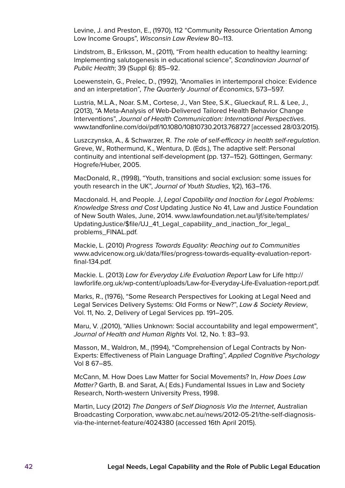Levine, J. and Preston, E., (1970), 112 "Community Resource Orientation Among Low Income Groups", Wisconsin Law Review 80–113.

Lindstrom, B., Eriksson, M., (2011), "From health education to healthy learning: Implementing salutogenesis in educational science", Scandinavian Journal of Public Health; 39 (Suppl 6): 85–92.

Loewenstein, G., Prelec, D., (1992), "Anomalies in intertemporal choice: Evidence and an interpretation", The Quarterly Journal of Economics, 573–597.

Lustria, M.L.A., Noar. S.M., Cortese, J., Van Stee, S.K., Glueckauf, R.L. & Lee, J., (2013), "A Meta-Analysis of Web-Delivered Tailored Health Behavior Change Interventions", Journal of Health Communication: International Perspectives. [www.tandfonline.com/doi/pdf/10.1080/10810730.2013.768727](http://www.tandfonline.com/doi/pdf/10.1080/10810730.2013.768727) [accessed 28/03/2015).

Luszczynska, A., & Schwarzer, R. The role of self-efficacy in health self-regulation. Greve, W., Rothermund, K., Wentura, D. (Eds.), The adaptive self: Personal continuity and intentional self-development (pp. 137–152). Göttingen, Germany: Hogrefe/Huber, 2005.

MacDonald, R., (1998), "Youth, transitions and social exclusion: some issues for youth research in the UK", Journal of Youth Studies, 1(2), 163–176.

Macdonald. H, and People. J, Legal Capability and Inaction for Legal Problems: Knowledge Stress and Cost Updating Justice No 41, Law and Justice Foundation of New South Wales, June, 2014. [www.lawfoundation.net.au/ljf/site/templates/](http://www.lawfoundation.net.au/ljf/site/templates/UpdatingJustice/$file/UJ_41_Legal_capability_and_inaction_for_legal_problems_FINAL.pdf) [UpdatingJustice/\\$file/UJ\\_41\\_Legal\\_capability\\_and\\_inaction\\_for\\_legal\\_](http://www.lawfoundation.net.au/ljf/site/templates/UpdatingJustice/$file/UJ_41_Legal_capability_and_inaction_for_legal_problems_FINAL.pdf) [problems\\_FINAL.pdf.](http://www.lawfoundation.net.au/ljf/site/templates/UpdatingJustice/$file/UJ_41_Legal_capability_and_inaction_for_legal_problems_FINAL.pdf)

Mackie, L. (2010) Progress Towards Equality: Reaching out to Communities [www.advicenow.org.uk/data/files/progress-towards-equality-evaluation-report](www.advicenow.org.uk/data/files/progress-towards-equality-evaluation-report-final-134.pdf)[final-134.pdf.](www.advicenow.org.uk/data/files/progress-towards-equality-evaluation-report-final-134.pdf)

Mackie. L. (2013) Law for Everyday Life Evaluation Report Law for Life [http://](http://lawforlife.org.uk/wp-content/uploads/Law-for-Everyday-Life-Evaluation-report.pdf) [lawforlife.org.uk/wp-content/uploads/Law-for-Everyday-Life-Evaluation-report.pdf.](http://lawforlife.org.uk/wp-content/uploads/Law-for-Everyday-Life-Evaluation-report.pdf)

Marks, R., (1976), "Some Research Perspectives for Looking at Legal Need and Legal Services Delivery Systems: Old Forms or New?", Law & Society Review, Vol. 11, No. 2, Delivery of Legal Services pp. 191–205.

Maru, V. ,(2010), "Allies Unknown: Social accountability and legal empowerment", Journal of Health and Human Rights Vol. 12, No. 1: 83–93.

Masson, M., Waldron, M., (1994), "Comprehension of Legal Contracts by Non-Experts: Effectiveness of Plain Language Drafting", Applied Cognitive Psychology Vol 8 67–85.

McCann, M. How Does Law Matter for Social Movements? In, How Does Law Matter? Garth, B. and Sarat, A.( Eds.) Fundamental Issues in Law and Society Research, North-western University Press, 1998.

Martin, Lucy (2012) The Dangers of Self Diagnosis Via the Internet, Australian Broadcasting Corporation, [www.abc.net.au/news/2012-05-21/the-self-diagnosis](www.abc.net.au/news/2012-05-21/the-self-diagnosis-via-the-internet-feature/4024380)[via-the-](www.abc.net.au/news/2012-05-21/the-self-diagnosis-via-the-internet-feature/4024380)internet-feature/4024380 (accessed 16th April 2015).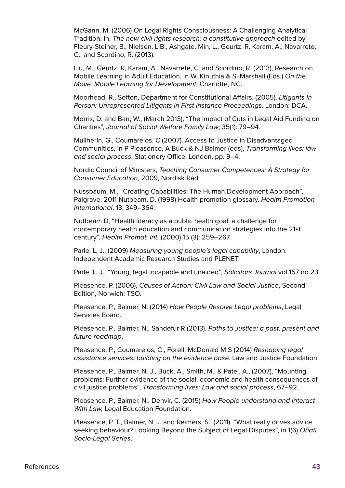McGann, M. (2006) On Legal Rights Consciousness: A Challenging Analytical Tradition. In, The new civil rights research: a constitutive approach edited by Fleury-Steiner, B., Nielsen, L.B., Ashgate. Min, L., Geurtz, R. Karam, A., Navarrete, C., and Scordino, R. (2013).

Liu, M., Geurtz, R, Karam, A., Navarrete, C. and Scordino, R. (2013), Research on Mobile Learning in Adult Education. In W. Kinuthia & S. Marshall (Eds.) On the Move: Mobile Learning for Development, Charlotte, NC.

Moorhead, R., Sefton, Department for Constitutional Affairs. (2005). Litigants in Person: Unrepresented Litigants in First Instance Proceedings. London: DCA.

Morris, D. and Barr, W., (March 2013), "The Impact of Cuts in Legal Aid Funding on Charities", Journal of Social Welfare Family Law; 35(1): 79–94.

Mullherin, G., Coumarelos, C (2007). Access to Justice in Disadvantaged Communities, in P Pleasence, A Buck & NJ Balmer (eds), Transforming lives: law and social process, Stationery Office, London, pp. 9–4.

Nordic Council of Ministers, Teaching Consumer Competences: A Strategy for Consumer Education, 2009, Nordisk Råd.

Nussbaum, M., "Creating Capabilities: The Human Development Approach", Palgrave, 2011 Nutbeam, D. (1998) Health promotion glossary. Health Promotion International, 13, 349–364.

Nutbeam D, "Health literacy as a public health goal: a challenge for contemporary health education and communication strategies into the 21st century", Health Promot. Int. (2000) 15 (3): 259–267.

Parle, L, J., (2009) Measuring young people's legal capability, London: Independent Academic Research Studies and PLENET.

Parle. L, J., "Young, legal incapable and unaided", Solicitors Journal vol 157 no 23.

Pleasence, P. (2006), Causes of Action: Civil Law and Social Justice, Second Edition, Norwich: TSO.

Pleasence, P., Balmer, N. (2014) How People Resolve Legal problems, Legal Services Board.

Pleasence, P., Balmer, N., Sandefur R (2013). Paths to Justice: a past, present and future roadmap.

Pleasence, P., Coumarelos, C., Forell, McDonald M S (2014) Reshaping legal assistance services: building on the evidence base. Law and Justice Foundation.

Pleasence, P., Balmer, N. J., Buck, A., Smith, M., & Patel, A., (2007), "Mounting problems: Further evidence of the social, economic and health consequences of civil justice problems", Transforming lives: Law and social process, 67–92.

Pleasence, P., Balmer, N., Denvir, C. (2015) How People understand and Interact With Law, Legal Education Foundation.

Pleasence, P. T., Balmer, N. J. and Reimers, S., (2011), "What really drives advice seeking behaviour? Looking Beyond the Subject of Legal Disputes", in 1(6) Oñati Socio-Legal Series.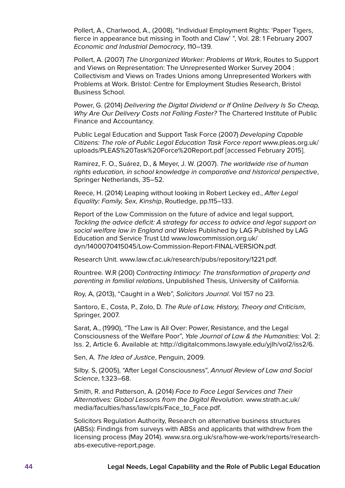Pollert, A., Charlwood, A., (2008), "Individual Employment Rights: 'Paper Tigers, fierce in appearance but missing in Tooth and Claw' ", Vol. 28: 1 February 2007 Economic and Industrial Democracy, 110–139.

Pollert, A. (2007) The Unorganized Worker: Problems at Work, Routes to Support and Views on Representation: The Unrepresented Worker Survey 2004 : Collectivism and Views on Trades Unions among Unrepresented Workers with Problems at Work. Bristol: Centre for Employment Studies Research, Bristol Business School.

Power, G. (2014) Delivering the Digital Dividend or If Online Delivery Is So Cheap, Why Are Our Delivery Costs not Falling Faster? The Chartered Institute of Public Finance and Accountancy.

Public Legal Education and Support Task Force (2007) Developing Capable Citizens: The role of Public Legal Education Task Force report [www.pleas.org.uk/](www.pleas.org.uk/uploads/PLEAS%20Task%20Force%20Report.pdf) [uploads/PLEAS%20Task%20Force%20Report.pdf](www.pleas.org.uk/uploads/PLEAS%20Task%20Force%20Report.pdf) [accessed February 2015].

Ramirez, F. O., Suárez, D., & Meyer, J. W. (2007). The worldwide rise of human rights education, in school knowledge in comparative and historical perspective, Springer Netherlands, 35–52.

Reece, H. (2014) Leaping without looking in Robert Leckey ed., After Legal Equality: Family, Sex, Kinship, Routledge, pp.115–133.

Report of the Low Commission on the future of advice and legal support, Tackling the advice deficit: A strategy for access to advice and legal support on social welfare law in England and Wales Published by LAG Published by LAG Education and Service Trust Ltd [www.lowcommission.org.uk/](http://www.lowcommission.org.uk/dyn/1400070415045/Low-Commission-Report-FINAL-VERSION.pdf) [dyn/1400070415045/Low-Commission-Report-FINAL-VERSION.pdf.](http://www.lowcommission.org.uk/dyn/1400070415045/Low-Commission-Report-FINAL-VERSION.pdf)

Research Unit. [www.law.cf.ac.uk/research/pubs/repository/1221.pdf.](http://www.law.cf.ac.uk/research/pubs/repository/1221.pdf)

Rountree. W.R (200) Contracting Intimacy: The transformation of property and parenting in familial relations, Unpublished Thesis, University of California.

Roy, A, (2013), "Caught in a Web", Solicitors Journal. Vol 157 no 23.

Santoro, E., Costa, P., Zolo, D. The Rule of Law, History, Theory and Criticism, Springer, 2007.

Sarat, A., (1990), "The Law is All Over: Power, Resistance, and the Legal Consciousness of the Welfare Poor", Yale Journal of Law & the Humanities: Vol. 2: Iss. 2, Article 6. Available at: <http://digitalcommons.law.yale.edu/yjlh/vol2/iss2/6>.

Sen, A. The Idea of Justice, Penguin, 2009.

Silby. S, (2005), "After Legal Consciousness", Annual Review of Law and Social Science, 1:323–68.

Smith, R. and Patterson, A. (2014) Face to Face Legal Services and Their Alternatives: Global Lessons from the Digital Revolution. [www.strath.ac.uk/](https://www.strath.ac.uk/media/faculties/hass/law/cpls/Face_to_Face.pdf) [media/faculties/hass/law/cpls/Face\\_to\\_Face.pdf.](https://www.strath.ac.uk/media/faculties/hass/law/cpls/Face_to_Face.pdf)

Solicitors Regulation Authority, Research on alternative business structures (ABSs): Findings from surveys with ABSs and applicants that withdrew from the licensing process (May 2014). [www.sra.org.uk/sra/how-we-work/reports/research](http://www.sra.org.uk/sra/how-we-work/reports/research-abs-executive-report.page)[abs-executive-report.page](http://www.sra.org.uk/sra/how-we-work/reports/research-abs-executive-report.page).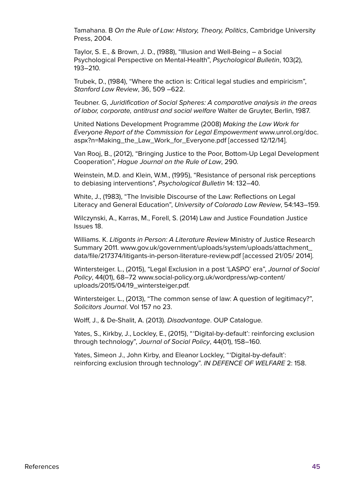Tamahana. B On the Rule of Law: History, Theory, Politics, Cambridge University Press, 2004.

Taylor, S. E., & Brown, J. D., (1988), "Illusion and Well-Being – a Social Psychological Perspective on Mental-Health", Psychological Bulletin, 103(2), 193–210.

Trubek, D., (1984), "Where the action is: Critical legal studies and empiricism", Stanford Law Review, 36, 509 –622.

Teubner. G, Juridification of Social Spheres: A comparative analysis in the areas of labor, corporate, antitrust and social welfare Walter de Gruyter, Berlin, 1987.

United Nations Development Programme (2008) Making the Law Work for Everyone Report of the Commission for Legal Empowerment [www.unrol.org/doc.](http://www.unrol.org/doc.aspx?n=Making_the_Law_Work_for_Everyone.pdf) [aspx?n=Making\\_the\\_Law\\_Work\\_for\\_Everyone.pdf](http://www.unrol.org/doc.aspx?n=Making_the_Law_Work_for_Everyone.pdf) [accessed 12/12/14].

Van Rooj, B., (2012), "Bringing Justice to the Poor, Bottom-Up Legal Development Cooperation", Hague Journal on the Rule of Law, 290.

Weinstein, M.D. and Klein, W.M., (1995), "Resistance of personal risk perceptions to debiasing interventions", Psychological Bulletin 14: 132–40.

White, J., (1983), "The Invisible Discourse of the Law: Reflections on Legal Literacy and General Education", University of Colorado Law Review, 54:143–159.

Wilczynski, A., Karras, M., Forell, S. (2014) Law and Justice Foundation Justice Issues 18.

Williams. K. Litigants in Person: A Literature Review Ministry of Justice Research Summary 2011. [www.gov.uk/government/uploads/system/uploads/attachment\\_](https://www.gov.uk/government/uploads/system/uploads/attachment_data/file/217374/litigants-in-person-literature-review.pdf) [data/file/217374/litigants-in-person-literature-review.pdf](https://www.gov.uk/government/uploads/system/uploads/attachment_data/file/217374/litigants-in-person-literature-review.pdf) [accessed 21/05/ 2014].

Wintersteiger. L., (2015), "Legal Exclusion in a post 'LASPO' era", Journal of Social Policy, 44(01), 68–72 [www.social-policy.org.uk/wordpress/wp-content/](http://www.social-policy.org.uk/wordpress/wp-content/uploads/2015/04/19_wintersteiger.pdf) [uploads/2015/04/19\\_wintersteiger.pdf.](http://www.social-policy.org.uk/wordpress/wp-content/uploads/2015/04/19_wintersteiger.pdf)

Wintersteiger. L., (2013), "The common sense of law: A question of legitimacy?", Solicitors Journal. Vol 157 no 23.

Wolff, J., & De-Shalit, A. (2013). Disadvantage. OUP Catalogue.

Yates, S., Kirkby, J., Lockley, E., (2015), "'Digital-by-default': reinforcing exclusion through technology", Journal of Social Policy, 44(01), 158–160.

Yates, Simeon J., John Kirby, and Eleanor Lockley, "'Digital-by-default': reinforcing exclusion through technology". IN DEFENCE OF WELFARE 2: 158.